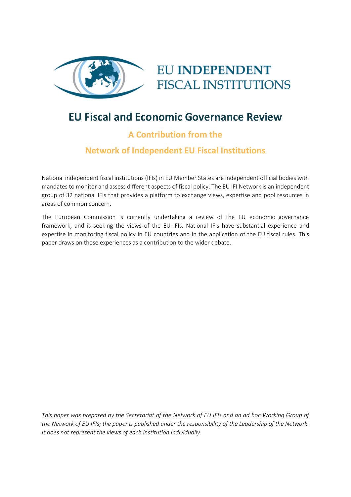

# **EU INDEPENDENT FISCAL INSTITUTIONS**

## **EU Fiscal and Economic Governance Review**

### **A Contribution from the**

### **Network of Independent EU Fiscal Institutions**

National independent fiscal institutions (IFIs) in EU Member States are independent official bodies with mandates to monitor and assess different aspects of fiscal policy. The EU IFI Network is an independent group of 32 national IFIs that provides a platform to exchange views, expertise and pool resources in areas of common concern.

The European Commission is currently undertaking a review of the EU economic governance framework, and is seeking the views of the EU IFIs. National IFIs have substantial experience and expertise in monitoring fiscal policy in EU countries and in the application of the EU fiscal rules. This paper draws on those experiences as a contribution to the wider debate.

*This paper was prepared by the Secretariat of the Network of EU IFIs and an ad hoc Working Group of the Network of EU IFIs; the paper is published under the responsibility of the Leadership of the Network. It does not represent the views of each institution individually.*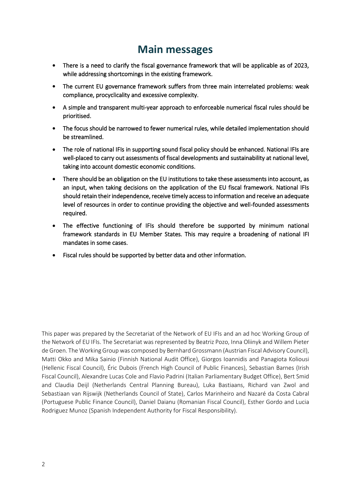### **Main messages**

- There is a need to clarify the fiscal governance framework that will be applicable as of 2023, while addressing shortcomings in the existing framework.
- The current EU governance framework suffers from three main interrelated problems: weak compliance, procyclicality and excessive complexity.
- A simple and transparent multi-year approach to enforceable numerical fiscal rules should be prioritised.
- The focus should be narrowed to fewer numerical rules, while detailed implementation should be streamlined.
- The role of national IFIs in supporting sound fiscal policy should be enhanced. National IFIs are well-placed to carry out assessments of fiscal developments and sustainability at national level, taking into account domestic economic conditions.
- There should be an obligation on the EU institutions to take these assessments into account, as an input, when taking decisions on the application of the EU fiscal framework. National IFIs should retain their independence, receive timely access to information and receive an adequate level of resources in order to continue providing the objective and well-founded assessments required.
- The effective functioning of IFIs should therefore be supported by minimum national framework standards in EU Member States. This may require a broadening of national IFI mandates in some cases.
- Fiscal rules should be supported by better data and other information.

This paper was prepared by the Secretariat of the Network of EU IFIs and an ad hoc Working Group of the Network of EU IFIs. The Secretariat was represented by Beatriz Pozo, Inna Oliinyk and Willem Pieter de Groen. The Working Group was composed by Bernhard Grossmann (Austrian Fiscal Advisory Council), Matti Okko and Mika Sainio (Finnish National Audit Office), Giorgos Ioannidis and Panagiota Koliousi (Hellenic Fiscal Council), Éric Dubois (French High Council of Public Finances), Sebastian Barnes (Irish Fiscal Council), Alexandre Lucas Cole and Flavio Padrini (Italian Parliamentary Budget Office), Bert Smid and Claudia Deijl (Netherlands Central Planning Bureau), Luka Bastiaans, Richard van Zwol and Sebastiaan van Rijswijk (Netherlands Council of State), Carlos Marinheiro and Nazaré da Costa Cabral (Portuguese Public Finance Council), Daniel Daianu (Romanian Fiscal Council), Esther Gordo and Lucia Rodriguez Munoz (Spanish Independent Authority for Fiscal Responsibility).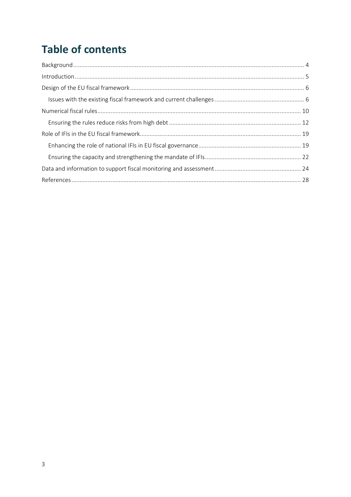# **Table of contents**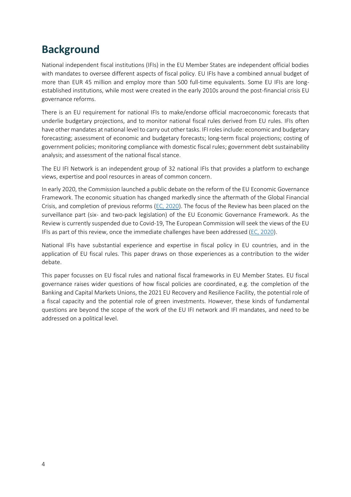## <span id="page-3-0"></span>**Background**

National independent fiscal institutions (IFIs) in the EU Member States are independent official bodies with mandates to oversee different aspects of fiscal policy. EU IFIs have a combined annual budget of more than EUR 45 million and employ more than 500 full-time equivalents. Some EU IFIs are longestablished institutions, while most were created in the early 2010s around the post-financial crisis EU governance reforms.

There is an EU requirement for national IFIs to make/endorse official macroeconomic forecasts that underlie budgetary projections, and to monitor national fiscal rules derived from EU rules. IFIs often have other mandates at national level to carry out other tasks. IFI roles include: economic and budgetary forecasting; assessment of economic and budgetary forecasts; long-term fiscal projections; costing of government policies; monitoring compliance with domestic fiscal rules; government debt sustainability analysis; and assessment of the national fiscal stance.

The EU IFI Network is an independent group of 32 national IFIs that provides a platform to exchange views, expertise and pool resources in areas of common concern.

In early 2020, the Commission launched a public debate on the reform of the EU Economic Governance Framework. The economic situation has changed markedly since the aftermath of the Global Financial Crisis, and completion of previous reforms [\(EC, 2020\)](https://ec.europa.eu/info/sites/default/files/economy-finance/com_2020_55_en.pdf). The focus of the Review has been placed on the surveillance part (six- and two-pack legislation) of the EU Economic Governance Framework. As the Review is currently suspended due to Covid-19, The European Commission will seek the views of the EU IFIs as part of this review, once the immediate challenges have been addressed [\(EC, 2020\)](https://ec.europa.eu/info/sites/default/files/economy-finance/com_2020_55_en.pdf).

National IFIs have substantial experience and expertise in fiscal policy in EU countries, and in the application of EU fiscal rules. This paper draws on those experiences as a contribution to the wider debate.

This paper focusses on EU fiscal rules and national fiscal frameworks in EU Member States. EU fiscal governance raises wider questions of how fiscal policies are coordinated, e.g. the completion of the Banking and Capital Markets Unions, the 2021 EU Recovery and Resilience Facility, the potential role of a fiscal capacity and the potential role of green investments. However, these kinds of fundamental questions are beyond the scope of the work of the EU IFI network and IFI mandates, and need to be addressed on a political level.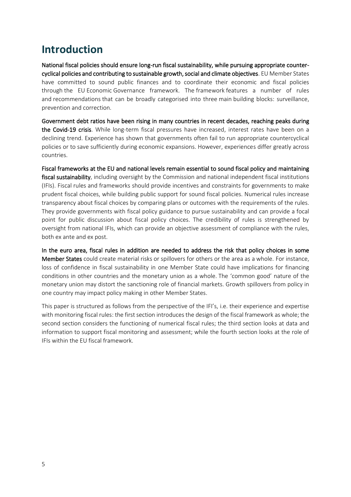## <span id="page-4-0"></span>**Introduction**

National fiscal policies should ensure long-run fiscal sustainability, while pursuing appropriate countercyclical policies and contributing to sustainable growth, social and climate objectives. EU Member States have committed to sound public finances and to coordinate their economic and fiscal policies through the EU Economic Governance framework. The framework features a number of rules and recommendations that can be broadly categorised into three main building blocks: surveillance, prevention and correction.

Government debt ratios have been rising in many countries in recent decades, reaching peaks during the Covid-19 crisis. While long-term fiscal pressures have increased, interest rates have been on a declining trend. Experience has shown that governments often fail to run appropriate countercyclical policies or to save sufficiently during economic expansions. However, experiences differ greatly across countries.

Fiscal frameworks at the EU and national levels remain essential to sound fiscal policy and maintaining fiscal sustainability, including oversight by the Commission and national independent fiscal institutions (IFIs). Fiscal rules and frameworks should provide incentives and constraints for governments to make prudent fiscal choices, while building public support for sound fiscal policies. Numerical rules increase transparency about fiscal choices by comparing plans or outcomes with the requirements of the rules. They provide governments with fiscal policy guidance to pursue sustainability and can provide a focal point for public discussion about fiscal policy choices. The credibility of rules is strengthened by oversight from national IFIs, which can provide an objective assessment of compliance with the rules, both ex ante and ex post.

In the euro area, fiscal rules in addition are needed to address the risk that policy choices in some Member States could create material risks or spillovers for others or the area as a whole. For instance, loss of confidence in fiscal sustainability in one Member State could have implications for financing conditions in other countries and the monetary union as a whole. The 'common good' nature of the monetary union may distort the sanctioning role of financial markets. Growth spillovers from policy in one country may impact policy making in other Member States.

This paper is structured as follows from the perspective of the IFI's, i.e. their experience and expertise with monitoring fiscal rules: the first section introduces the design of the fiscal framework as whole; the second section considers the functioning of numerical fiscal rules; the third section looks at data and information to support fiscal monitoring and assessment; while the fourth section looks at the role of IFIs within the EU fiscal framework.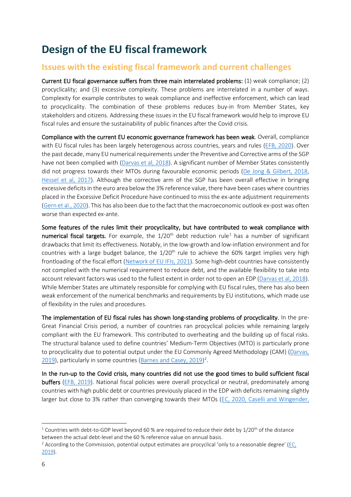## <span id="page-5-0"></span>**Design of the EU fiscal framework**

### <span id="page-5-1"></span>**Issues with the existing fiscal framework and current challenges**

Current EU fiscal governance suffers from three main interrelated problems: (1) weak compliance; (2) procyclicality; and (3) excessive complexity. These problems are interrelated in a number of ways. Complexity for example contributes to weak compliance and ineffective enforcement, which can lead to procyclicality. The combination of these problems reduces buy-in from Member States, key stakeholders and citizens. Addressing these issues in the EU fiscal framework would help to improve EU fiscal rules and ensure the sustainability of public finances after the Covid crisis.

Compliance with the current EU economic governance framework has been weak. Overall, compliance with EU fiscal rules has been largely heterogenous across countries, years and rules [\(EFB, 2020\)](https://ec.europa.eu/info/sites/default/files/numerical_compliance_with_eu_fiscal_rules_en_3.pdf). Over the past decade, many EU numerical requirements under the Preventive and Corrective arms of the SGP have not been complied with [\(Darvas et al, 2018\)](https://www.bruegel.org/wp-content/uploads/2018/10/PC-18_2018.pdf). A significant number of Member States consistently did not progress towards their MTOs during favourable economic periods [\(De Jong & Gilbert, 2018,](https://poseidon01.ssrn.com/delivery.php?ID=497104031021106092081108022120100004003044057035002028109092107094000122081103096007024026006007024061114115071116016065021022049061090039081012102112080076119107071007018054111082085103112099094112004103088114006095025068020067121005086122115076123020&EXT=pdf&INDEX=TRUE) [Hessel et al, 2017\)](https://www.dnb.nl/media/pxrj2lkj/201707_nr_2_-2017-_capitalising_on_the_euro.pdf). Although the corrective arm of the SGP has been overall effective in bringing excessive deficits in the euro area below the 3% reference value, there have been cases where countries placed in the Excessive Deficit Procedure have continued to miss the ex-ante adjustment requirements [\(Gern et al., 2020\)](https://www.telecom-paris.fr/antonio-casilli). This has also been due to the fact that the macroeconomic outlook ex-post was often worse than expected ex-ante.

Some features of the rules limit their procyclicality, but have contributed to weak compliance with numerical fiscal targets. For example, the 1/20<sup>th</sup> debt reduction rule<sup>1</sup> has a number of significant drawbacks that limit its effectiveness. Notably, in the low-growth and low-inflation environment and for countries with a large budget balance, the  $1/20<sup>th</sup>$  rule to achieve the 60% target implies very high frontloading of the fiscal effort [\(Network of EU IFIs, 2021\)](https://www.euifis.eu/eng/fiscal/301/the-public-debt-outlook-in-the-emu-post-covid-a-key-challenge-for-the). Some high-debt countries have consistently not complied with the numerical requirement to reduce debt, and the available flexibility to take into account relevant factors was used to the fullest extent in order not to open an EDP [\(Darvas et al, 2018\)](https://www.bruegel.org/wp-content/uploads/2018/10/PC-18_2018.pdf). While Member States are ultimately responsible for complying with EU fiscal rules, there has also been weak enforcement of the numerical benchmarks and requirements by EU institutions, which made use of flexibility in the rules and procedures.

The implementation of EU fiscal rules has shown long-standing problems of procyclicality. In the pre-Great Financial Crisis period, a number of countries ran procyclical policies while remaining largely compliant with the EU framework. This contributed to overheating and the building up of fiscal risks. The structural balance used to define countries' Medium-Term Objectives (MTO) is particularly prone to procyclicality due to potential output under the EU Commonly Agreed Methodology (CAM) [\(Darvas,](https://www.bruegel.org/2019/10/why-structural-balances-should-be-scrapped-from-eu-fiscal-rules/)  [2019\)](https://www.bruegel.org/2019/10/why-structural-balances-should-be-scrapped-from-eu-fiscal-rules/), particularly in some countries [\(Barnes and Casey, 2019\)](https://voxeu.org/article/euro-area-budget-rules-spending-must-avoid-pro-cyclicality-trap)<sup>2</sup>.

In the run-up to the Covid crisis, many countries did not use the good times to build sufficient fiscal buffers [\(EFB, 2019\)](https://ec.europa.eu/info/sites/default/files/2019-09-10-assessment-of-eu-fiscal-rules_en.pdf). National fiscal policies were overall procyclical or neutral, predominately among countries with high public debt or countries previously placed in the EDP with deficits remaining slightly larger but close to 3% rather than converging towards their MTOs [\(EC, 2020,](https://ec.europa.eu/info/sites/default/files/economy-finance/swd_2020_210_en.pdf) [Caselli and Wingender,](https://www.imf.org/en/Publications/WP/Issues/2018/08/03/Bunching-at-3-Percent-The-Maastricht-Fiscal-Criterion-and-Government-Deficits-46135) 

<sup>&</sup>lt;sup>1</sup> Countries with debt-to-GDP level beyond 60 % are required to reduce their debt by  $1/20^{th}$  of the distance between the actual debt-level and the 60 % reference value on annual basis.

 $2$  According to the Commission, potential output estimates are procyclical 'only to a reasonable degree' (EC, [2019\)](https://ec.europa.eu/info/sites/default/files/economy-finance/ecfin_forecast_autumn_2019_special-issue-3_en.pdf).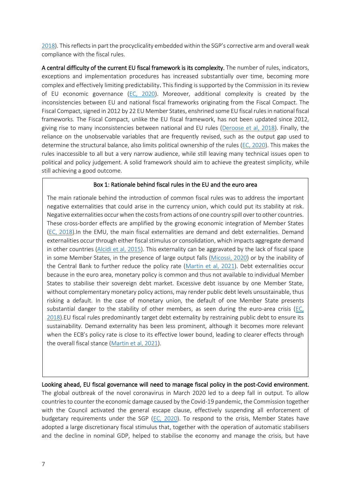[2018\)](https://www.imf.org/en/Publications/WP/Issues/2018/08/03/Bunching-at-3-Percent-The-Maastricht-Fiscal-Criterion-and-Government-Deficits-46135). This reflects in part the procyclicality embedded within the SGP's corrective arm and overall weak compliance with the fiscal rules.

A central difficulty of the current EU fiscal framework is its complexity. The number of rules, indicators, exceptions and implementation procedures has increased substantially over time, becoming more complex and effectively limiting predictability. This finding is supported by the Commission in its review of EU economic governance [\(EC, 2020\)](https://ec.europa.eu/info/sites/default/files/economy-finance/swd_2020_210_en.pdf). Moreover, additional complexity is created by the inconsistencies between EU and national fiscal frameworks originating from the Fiscal Compact. The Fiscal Compact, signed in 2012 by 22 EU Member States, enshrined some EU fiscal rules in national fiscal frameworks. The Fiscal Compact, unlike the EU fiscal framework, has not been updated since 2012, giving rise to many inconsistencies between national and EU rules [\(Deroose et al, 2018\)](https://voxeu.org/article/eu-fiscal-rules-root-causes-its-complexity). Finally, the reliance on the unobservable variables that are frequently revised, such as the output gap used to determine the structural balance, also limits political ownership of the rules [\(EC, 2020\)](https://ec.europa.eu/info/sites/default/files/economy-finance/swd_2020_210_en.pdf). This makes the rules inaccessible to all but a very narrow audience, while still leaving many technical issues open to political and policy judgement. A solid framework should aim to achieve the greatest simplicity, while still achieving a good outcome.

#### Box 1: Rationale behind fiscal rules in the EU and the euro area

The main rationale behind the introduction of common fiscal rules was to address the important negative externalities that could arise in the currency union, which could put its stability at risk. Negative externalities occur when the costs from actions of one country spill over to other countries. These cross-border effects are amplified by the growing economic integration of Member States [\(EC, 2018\)](https://ec.europa.eu/info/sites/default/files/economy-finance/dp082_en.pdf).In the EMU, the main fiscal externalities are demand and debt externalities. Demand externalities occur through either fiscal stimulus or consolidation, which impacts aggregate demand in other countries [\(Alcidi et al, 2015\)](https://ec.europa.eu/research/participants/documents/downloadPublic?documentIds=080166e5a428f6c2&appId=PPGMS). This externality can be aggravated by the lack of fiscal space in some Member States, in the presence of large output falls [\(Micossi, 2020\)](https://www.ceps.eu/wp-content/uploads/2020/10/PI2020-27_Sovereign-debt-management-as-a-common-action-problem-in-the-EA.pdf) or by the inability of the Central Bank to further reduce the policy rate [\(Martin et al, 2021\)](https://voxeu.org/article/new-template-european-fiscal-framework). Debt externalities occur because in the euro area, monetary policy is common and thus not available to individual Member States to stabilise their sovereign debt market. Excessive debt issuance by one Member State, without complementary monetary policy actions, may render public debt levels unsustainable, thus risking a default. In the case of monetary union, the default of one Member State presents substantial danger to the stability of other members, as seen during the euro-area crisis ( $EC<sub>L</sub>$ [2018\)](https://ec.europa.eu/info/sites/default/files/economy-finance/dp082_en.pdf).EU fiscal rules predominantly target debt externality by restraining public debt to ensure its sustainability. Demand externality has been less prominent, although it becomes more relevant when the ECB's policy rate is close to its effective lower bound, leading to clearer effects through the overall fiscal stance [\(Martin et al, 2021\)](https://voxeu.org/article/new-template-european-fiscal-framework).

#### Looking ahead, EU fiscal governance will need to manage fiscal policy in the post-Covid environment.

The global outbreak of the novel coronavirus in March 2020 led to a deep fall in output. To allow countries to counter the economic damage caused by the Covid-19 pandemic, the Commission together with the Council activated the general escape clause, effectively suspending all enforcement of budgetary requirements under the SGP [\(EC, 2020\)](https://ec.europa.eu/commission/presscorner/detail/en/IP_20_499). To respond to the crisis, Member States have adopted a large discretionary fiscal stimulus that, together with the operation of automatic stabilisers and the decline in nominal GDP, helped to stabilise the economy and manage the crisis, but have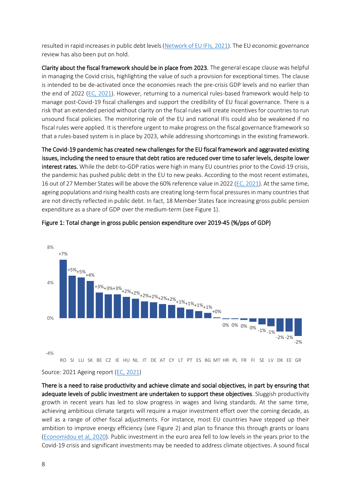resulted in rapid increases in public debt levels [\(Network of EU IFIs, 2021\)](https://www.euifis.eu/eng/fiscal/300/march-2021). The EU economic governance review has also been put on hold.

Clarity about the fiscal framework should be in place from 2023. The general escape clause was helpful in managing the Covid crisis, highlighting the value of such a provision for exceptional times. The clause is intended to be de-activated once the economies reach the pre-crisis GDP levels and no earlier than the end of 2022 [\(EC, 2021\)](https://ec.europa.eu/commission/presscorner/detail/en/qanda_21_885). However, returning to a numerical rules-based framework would help to manage post-Covid-19 fiscal challenges and support the credibility of EU fiscal governance. There is a risk that an extended period without clarity on the fiscal rules will create incentives for countries to run unsound fiscal policies. The monitoring role of the EU and national IFIs could also be weakened if no fiscal rules were applied. It is therefore urgent to make progress on the fiscal governance framework so that a rules-based system is in place by 2023, while addressing shortcomings in the existing framework.

The Covid-19 pandemic has created new challenges for the EU fiscal framework and aggravated existing issues, including the need to ensure that debt ratios are reduced over time to safer levels, despite lower interest rates. While the debt-to-GDP ratios were high in many EU countries prior to the Covid-19 crisis, the pandemic has pushed public debt in the EU to new peaks. According to the most recent estimates, 16 out of 27 Member States will be above the 60% reference value in 2022 [\(EC, 2021\)](https://ec.europa.eu/info/sites/default/files/economy-finance/ecfin_forecast_spring_2021_statistical-annex_en.pdf). At the same time, ageing populations and rising health costs are creating long-term fiscal pressures in many countries that are not directly reflected in public debt. In fact, 18 Member States face increasing gross public pension expenditure as a share of GDP over the medium-term (see [Figure 1\)](#page-7-0).



#### <span id="page-7-0"></span>Figure 1: Total change in gross public pension expenditure over 2019-45 (%/pps of GDP)

Source: 2021 Ageing report [\(EC, 2021\)](https://ec.europa.eu/info/publications/2021-ageing-report-economic-and-budgetary-projections-eu-member-states-2019-2070_en)

There is a need to raise productivity and achieve climate and social objectives, in part by ensuring that adequate levels of public investment are undertaken to support these objectives. Sluggish productivity growth in recent years has led to slow progress in wages and living standards. At the same time, achieving ambitious climate targets will require a major investment effort over the coming decade, as well as a range of other fiscal adjustments. For instance, most EU countries have stepped up their ambition to improve energy efficiency (see [Figure 2\)](#page-8-0) and plan to finance this through grants or loans [\(Economidou et al, 2020\)](https://publications.jrc.ec.europa.eu/repository/bitstream/JRC122862/jrc122862_national_energy_and_climate_plans_under_the_eu_energy_union_governance_final.pdf). Public investment in the euro area fell to low levels in the years prior to the Covid-19 crisis and significant investments may be needed to address climate objectives. A sound fiscal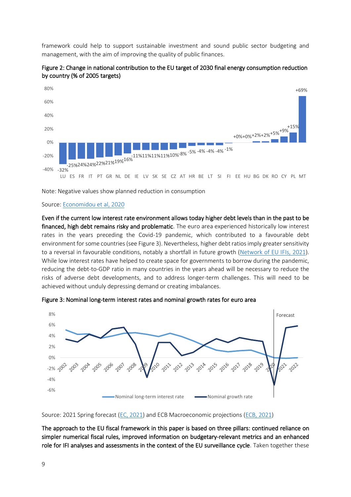framework could help to support sustainable investment and sound public sector budgeting and management, with the aim of improving the quality of public finances.



<span id="page-8-0"></span>Figure 2: Change in national contribution to the EU target of 2030 final energy consumption reduction by country (% of 2005 targets)

Note: Negative values show planned reduction in consumption

#### Source: [Economidou et al, 2020](https://publications.jrc.ec.europa.eu/repository/bitstream/JRC122862/jrc122862_national_energy_and_climate_plans_under_the_eu_energy_union_governance_final.pdf)

Even if the current low interest rate environment allows today higher debt levels than in the past to be financed, high debt remains risky and problematic. The euro area experienced historically low interest rates in the years preceding the Covid-19 pandemic, which contributed to a favourable debt environment for some countries (see [Figure 3\)](#page-8-1). Nevertheless, higher debt ratios imply greater sensitivity to a reversal in favourable conditions, notably a shortfall in future growth [\(Network of EU IFIs,](https://www.euifis.eu/images/Network%20of%20EU%20IFIs%20-%20The%20public%20debt%20outlook%20post%20Covid%20-%20A%20key%20challenge%20for%20the%20EUFF(2).pdf) 2021). While low interest rates have helped to create space for governments to borrow during the pandemic, reducing the debt-to-GDP ratio in many countries in the years ahead will be necessary to reduce the risks of adverse debt developments, and to address longer-term challenges. This will need to be achieved without unduly depressing demand or creating imbalances.



<span id="page-8-1"></span>Figure 3: Nominal long-term interest rates and nominal growth rates for euro area

#### Source: 2021 Spring forecast [\(EC, 2021\)](https://ec.europa.eu/info/sites/default/files/economy-finance/ecfin_forecast_spring_2021_statistical-annex_en.pdf) and ECB Macroeconomic projections [\(ECB, 2021\)](https://www.ecb.europa.eu/pub/projections/html/index.en.html)

The approach to the EU fiscal framework in this paper is based on three pillars: continued reliance on simpler numerical fiscal rules, improved information on budgetary-relevant metrics and an enhanced role for IFI analyses and assessments in the context of the EU surveillance cycle. Taken together these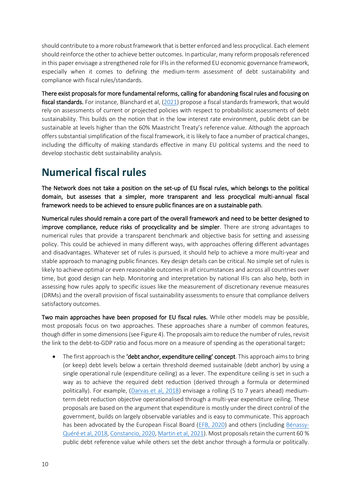should contribute to a more robust framework that is better enforced and less procyclical. Each element should reinforce the other to achieve better outcomes. In particular, many reform proposals referenced in this paper envisage a strengthened role for IFIs in the reformed EU economic governance framework, especially when it comes to defining the medium-term assessment of debt sustainability and compliance with fiscal rules/standards.

There exist proposals for more fundamental reforms, calling for abandoning fiscal rules and focusing on fiscal standards. For instance, [Blanchard et al, \(2021\)](https://www.piie.com/sites/default/files/documents/wp21-1.pdf) propose a fiscal standards framework, that would rely on assessments of current or projected policies with respect to probabilistic assessments of debt sustainability. This builds on the notion that in the low interest rate environment, public debt can be sustainable at levels higher than the 60% Maastricht Treaty's reference value. Although the approach offers substantial simplification of the fiscal framework, it is likely to face a number of practical changes, including the difficulty of making standards effective in many EU political systems and the need to develop stochastic debt sustainability analysis.

## <span id="page-9-0"></span>**Numerical fiscal rules**

The Network does not take a position on the set-up of EU fiscal rules, which belongs to the political domain, but assesses that a simpler, more transparent and less procyclical multi-annual fiscal framework needs to be achieved to ensure public finances are on a sustainable path.

Numerical rules should remain a core part of the overall framework and need to be better designed to improve compliance, reduce risks of procyclicality and be simpler. There are strong advantages to numerical rules that provide a transparent benchmark and objective basis for setting and assessing policy. This could be achieved in many different ways, with approaches offering different advantages and disadvantages. Whatever set of rules is pursued, it should help to achieve a more multi-year and stable approach to managing public finances. Key design details can be critical. No simple set of rules is likely to achieve optimal or even reasonable outcomes in all circumstances and across all countries over time, but good design can help. Monitoring and interpretation by national IFIs can also help, both in assessing how rules apply to specific issues like the measurement of discretionary revenue measures (DRMs) and the overall provision of fiscal sustainability assessments to ensure that compliance delivers satisfactory outcomes.

Two main approaches have been proposed for EU fiscal rules. While other models may be possible, most proposals focus on two approaches. These approaches share a number of common features, though differ in some dimensions (see [Figure 4\)](#page-10-0). The proposals aim to reduce the number of rules, revisit the link to the debt-to-GDP ratio and focus more on a measure of spending as the operational target:

• The first approach is the 'debt anchor, expenditure ceiling' concept. This approach aims to bring (or keep) debt levels below a certain threshold deemed sustainable (debt anchor) by using a single operational rule (expenditure ceiling) as a lever. The expenditure ceiling is set in such a way as to achieve the required debt reduction (derived through a formula or determined politically). For example, [\(Darvas et al, 2018\)](https://www.bruegel.org/wp-content/uploads/2018/10/PC-18_2018.pdf) envisage a rolling (5 to 7 years ahead) mediumterm debt reduction objective operationalised through a multi-year expenditure ceiling. These proposals are based on the argument that expenditure is mostly under the direct control of the government, builds on largely observable variables and is easy to communicate. This approach has been advocated by the European Fiscal Board [\(EFB, 2020\)](https://voxeu.org/article/reforming-eu-fiscal-framework-now-time) and others (including [Bénassy-](https://link.springer.com/article/10.1057/s41294-020-00122-3#Fig1)Quéré [et al, 2018,](https://link.springer.com/article/10.1057/s41294-020-00122-3#Fig1) [Constancio, 2020,](https://link.springer.com/article/10.1057/s41294-020-00122-3#Fig1) [Martin et al, 2021\)](https://voxeu.org/article/new-template-european-fiscal-framework). Most proposals retain the current 60 % public debt reference value while others set the debt anchor through a formula or politically.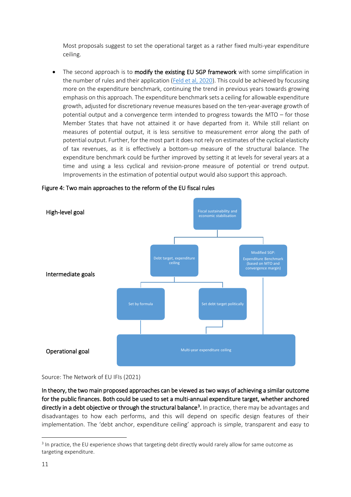Most proposals suggest to set the operational target as a rather fixed multi-year expenditure ceiling.

• The second approach is to modify the existing EU SGP framework with some simplification in the number of rules and their application [\(Feld et al, 2020\)](https://voxeu.org/article/refocusing-european-fiscal-framework). This could be achieved by focussing more on the expenditure benchmark, continuing the trend in previous years towards growing emphasis on this approach. The expenditure benchmark sets a ceiling for allowable expenditure growth, adjusted for discretionary revenue measures based on the ten-year-average growth of potential output and a convergence term intended to progress towards the MTO – for those Member States that have not attained it or have departed from it. While still reliant on measures of potential output, it is less sensitive to measurement error along the path of potential output. Further, for the most part it does not rely on estimates of the cyclical elasticity of tax revenues, as it is effectively a bottom-up measure of the structural balance. The expenditure benchmark could be further improved by setting it at levels for several years at a time and using a less cyclical and revision-prone measure of potential or trend output. Improvements in the estimation of potential output would also support this approach.



<span id="page-10-0"></span>Figure 4: Two main approaches to the reform of the EU fiscal rules

Source: The Network of EU IFIs (2021)

In theory, the two main proposed approaches can be viewed as two ways of achieving a similar outcome for the public finances. Both could be used to set a multi-annual expenditure target, whether anchored directly in a debt objective or through the structural balance<sup>3</sup>. In practice, there may be advantages and disadvantages to how each performs, and this will depend on specific design features of their implementation. The 'debt anchor, expenditure ceiling' approach is simple, transparent and easy to

 $3$  In practice, the EU experience shows that targeting debt directly would rarely allow for same outcome as targeting expenditure.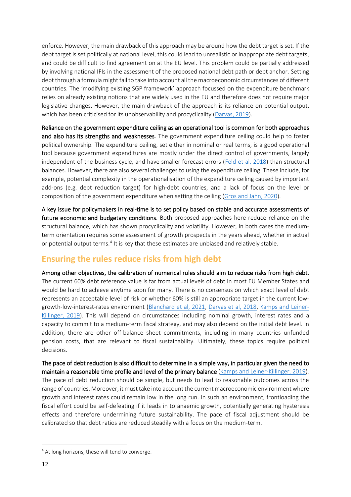enforce. However, the main drawback of this approach may be around how the debt target is set. If the debt target is set politically at national level, this could lead to unrealistic or inappropriate debt targets, and could be difficult to find agreement on at the EU level. This problem could be partially addressed by involving national IFIs in the assessment of the proposed national debt path or debt anchor. Setting debt through a formula might fail to take into account all the macroeconomic circumstances of different countries. The 'modifying existing SGP framework' approach focussed on the expenditure benchmark relies on already existing notions that are widely used in the EU and therefore does not require major legislative changes. However, the main drawback of the approach is its reliance on potential output, which has been criticised for its unobservability and procyclicality [\(Darvas, 2019\)](https://www.bruegel.org/2019/10/why-structural-balances-should-be-scrapped-from-eu-fiscal-rules/).

Reliance on the government expenditure ceiling as an operational tool is common for both approaches and also has its strengths and weaknesses. The government expenditure ceiling could help to foster political ownership. The expenditure ceiling, set either in nominal or real terms, is a good operational tool because government expenditures are mostly under the direct control of governments, largely independent of the business cycle, and have smaller forecast errors [\(Feld et al, 2018\)](https://voxeu.org/article/refocusing-european-fiscal-framework) than structural balances. However, there are also several challenges to using the expenditure ceiling. These include, for example, potential complexity in the operationalisation of the expenditure ceiling caused by important add-ons (e.g. debt reduction target) for high-debt countries, and a lack of focus on the level or composition of the government expenditure when setting the ceiling [\(Gros and Jahn, 2020\)](https://www.europarl.europa.eu/RegData/etudes/STUD/2020/614523/IPOL_STU(2020)614523_EN.pdf).

A key issue for policymakers in real-time is to set policy based on stable and accurate assessments of future economic and budgetary conditions. Both proposed approaches here reduce reliance on the structural balance, which has shown procyclicality and volatility. However, in both cases the mediumterm orientation requires some assessment of growth prospects in the years ahead, whether in actual or potential output terms.<sup>4</sup> It is key that these estimates are unbiased and relatively stable.

### <span id="page-11-0"></span>**Ensuring the rules reduce risks from high debt**

Among other objectives, the calibration of numerical rules should aim to reduce risks from high debt. The current 60% debt reference value is far from actual levels of debt in most EU Member States and would be hard to achieve anytime soon for many. There is no consensus on which exact level of debt represents an acceptable level of risk or whether 60% is still an appropriate target in the current lowgrowth-low-interest-rates environment [\(Blanchard et al, 2021,](https://www.economic-policy.org/wp-content/uploads/2020/10/9100_Redesigning-EU-Fiscal-Rules.pdf) [Darvas et al, 2018,](https://www.bruegel.org/2018/10/european-fiscal-rules-require-a-major-overhaul/) [Kamps and Leiner-](https://www.ecb.europa.eu/pub/pdf/scpops/ecb.op231~c1ccf67bb3.en.pdf)[Killinger, 2019\)](https://www.ecb.europa.eu/pub/pdf/scpops/ecb.op231~c1ccf67bb3.en.pdf). This will depend on circumstances including nominal growth, interest rates and a capacity to commit to a medium-term fiscal strategy, and may also depend on the initial debt level. In addition, there are other off-balance sheet commitments, including in many countries unfunded pension costs, that are relevant to fiscal sustainability. Ultimately, these topics require political decisions.

The pace of debt reduction is also difficult to determine in a simple way, in particular given the need to maintain a reasonable time profile and level of the primary balance [\(Kamps and Leiner-Killinger, 2019\)](https://www.ecb.europa.eu/pub/pdf/scpops/ecb.op231~c1ccf67bb3.en.pdf). The pace of debt reduction should be simple, but needs to lead to reasonable outcomes across the range of countries. Moreover, it must take into account the current macroeconomic environment where growth and interest rates could remain low in the long run. In such an environment, frontloading the fiscal effort could be self-defeating if it leads in to anaemic growth, potentially generating hysteresis effects and therefore undermining future sustainability. The pace of fiscal adjustment should be calibrated so that debt ratios are reduced steadily with a focus on the medium-term.

<sup>&</sup>lt;sup>4</sup> At long horizons, these will tend to converge.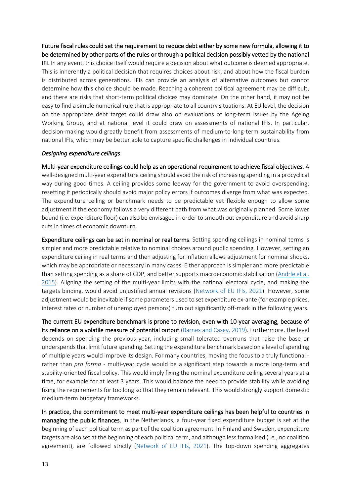Future fiscal rules could set the requirement to reduce debt either by some new formula, allowing it to be determined by other parts of the rules or through a political decision possibly vetted by the national IFI. In any event, this choice itself would require a decision about what outcome is deemed appropriate. This is inherently a political decision that requires choices about risk, and about how the fiscal burden is distributed across generations. IFIs can provide an analysis of alternative outcomes but cannot determine how this choice should be made. Reaching a coherent political agreement may be difficult, and there are risks that short-term political choices may dominate. On the other hand, it may not be easy to find a simple numerical rule that is appropriate to all country situations. At EU level, the decision on the appropriate debt target could draw also on evaluations of long-term issues by the Ageing Working Group, and at national level it could draw on assessments of national IFIs. In particular, decision-making would greatly benefit from assessments of medium-to-long-term sustainability from

national IFIs, which may be better able to capture specific challenges in individual countries.

#### *Designing expenditure ceilings*

Multi-year expenditure ceilings could help as an operational requirement to achieve fiscal objectives. A well-designed multi-year expenditure ceiling should avoid the risk of increasing spending in a procyclical way during good times. A ceiling provides some leeway for the government to avoid overspending; resetting it periodically should avoid major policy errors if outcomes diverge from what was expected. The expenditure ceiling or benchmark needs to be predictable yet flexible enough to allow some adjustment if the economy follows a very different path from what was originally planned. Some lower bound (i.e. expenditure floor) can also be envisaged in order to smooth out expenditure and avoid sharp cuts in times of economic downturn.

Expenditure ceilings can be set in nominal or real terms. Setting spending ceilings in nominal terms is simpler and more predictable relative to nominal choices around public spending. However, setting an expenditure ceiling in real terms and then adjusting for inflation allows adjustment for nominal shocks, which may be appropriate or necessary in many cases. Either approach is simpler and more predictable than setting spending as a share of GDP, and better supports macroeconomic stabilisation (Andrle et al, [2015\)](https://www.imf.org/external/pubs/ft/sdn/2015/sdn1509.pdf). Aligning the setting of the multi-year limits with the national electoral cycle, and making the targets binding, would avoid unjustified annual revisions [\(Network of EU IFIs, 2021\)](https://www.euifis.eu/images/Network%20of%20EU%20IFIs%20-%20How%20to%20strengthen%20fiscal%20surveillance%20towards%20a%20medium-term%20focus(1).pdf). However, some adjustment would be inevitable if some parameters used to set expenditure ex-ante (for example prices, interest rates or number of unemployed persons) turn out significantly off-mark in the following years.

The current EU expenditure benchmark is prone to revision, even with 10-year averaging, because of its reliance on a volatile measure of potential output [\(Barnes and Casey, 2019\)](https://voxeu.org/article/euro-area-budget-rules-spending-must-avoid-pro-cyclicality-trap). Furthermore, the level depends on spending the previous year, including small tolerated overruns that raise the base or underspends that limit future spending. Setting the expenditure benchmark based on a level of spending of multiple years would improve its design. For many countries, moving the focus to a truly functional rather than *pro forma* - multi-year cycle would be a significant step towards a more long-term and stability-oriented fiscal policy. This would imply fixing the nominal expenditure ceiling several years at a time, for example for at least 3 years. This would balance the need to provide stability while avoiding fixing the requirements for too long so that they remain relevant. This would strongly support domestic medium-term budgetary frameworks.

In practice, the commitment to meet multi-year expenditure ceilings has been helpful to countries in managing the public finances. In the Netherlands, a four-year fixed expenditure budget is set at the beginning of each political term as part of the coalition agreement. In Finland and Sweden, expenditure targets are also set at the beginning of each political term, and although less formalised (i.e., no coalition agreement), are followed strictly [\(Network of EU IFIs, 2021\)](https://www.euifis.eu/images/Network%20of%20EU%20IFIs%20-%20How%20to%20strengthen%20fiscal%20surveillance%20towards%20a%20medium-term%20focus(1).pdf). The top-down spending aggregates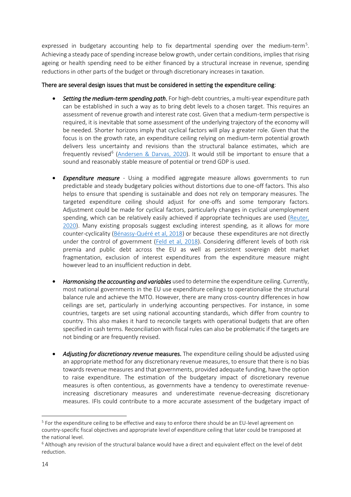expressed in budgetary accounting help to fix departmental spending over the medium-term<sup>5</sup>. Achieving a steady pace of spending increase below growth, under certain conditions, implies that rising ageing or health spending need to be either financed by a structural increase in revenue, spending reductions in other parts of the budget or through discretionary increases in taxation.

#### There are several design issues that must be considered in setting the expenditure ceiling:

- *Setting the medium-term spending path*. For high-debt countries, a multi-year expenditure path can be established in such a way as to bring debt levels to a chosen target. This requires an assessment of revenue growth and interest rate cost. Given that a medium-term perspective is required, it is inevitable that some assessment of the underlying trajectory of the economy will be needed. Shorter horizons imply that cyclical factors will play a greater role. Given that the focus is on the growth rate, an expenditure ceiling relying on medium-term potential growth delivers less uncertainty and revisions than the structural balance estimates, which are frequently revised<sup>6</sup> [\(Andersen & Darvas, 2020\)](https://www.bruegel.org/wp-content/uploads/2020/10/IPOL_STU2020645733_EN.pdf). It would still be important to ensure that a sound and reasonably stable measure of potential or trend GDP is used.
- *Expenditure measure* Using a modified aggregate measure allows governments to run predictable and steady budgetary policies without distortions due to one-off factors. This also helps to ensure that spending is sustainable and does not rely on temporary measures. The targeted expenditure ceiling should adjust for one-offs and some temporary factors. Adjustment could be made for cyclical factors, particularly changes in cyclical unemployment spending, which can be relatively easily achieved if appropriate techniques are used [\(Reuter,](https://www.europarl.europa.eu/RegData/etudes/STUD/2020/645732/IPOL_STU(2020)645732_EN.pdf)  [2020\)](https://www.europarl.europa.eu/RegData/etudes/STUD/2020/645732/IPOL_STU(2020)645732_EN.pdf). Many existing proposals suggest excluding interest spending, as it allows for more counter-cyclicality [\(Bénassy-Quéré](https://cadmus.eui.eu/bitstream/handle/1814/50904/PolicyInsight_2018_91.pdf?sequence=1&isAllowed=y) et al, 2018) or because these expenditures are not directly under the control of government [\(Feld et al, 2018\)](https://voxeu.org/article/refocusing-european-fiscal-framework). Considering different levels of both risk premia and public debt across the EU as well as persistent sovereign debt market fragmentation, exclusion of interest expenditures from the expenditure measure might however lead to an insufficient reduction in debt.
- *Harmonising the accounting and variables* used to determine the expenditure ceiling. Currently, most national governments in the EU use expenditure ceilings to operationalise the structural balance rule and achieve the MTO. However, there are many cross-country differences in how ceilings are set, particularly in underlying accounting perspectives. For instance, in some countries, targets are set using national accounting standards, which differ from country to country. This also makes it hard to reconcile targets with operational budgets that are often specified in cash terms. Reconciliation with fiscal rules can also be problematic if the targets are not binding or are frequently revised.
- *Adjusting for discretionary revenue* measures. The expenditure ceiling should be adjusted using an appropriate method for any discretionary revenue measures, to ensure that there is no bias towards revenue measures and that governments, provided adequate funding, have the option to raise expenditure. The estimation of the budgetary impact of discretionary revenue measures is often contentious, as governments have a tendency to overestimate revenueincreasing discretionary measures and underestimate revenue-decreasing discretionary measures. IFIs could contribute to a more accurate assessment of the budgetary impact of

<sup>&</sup>lt;sup>5</sup> For the expenditure ceiling to be effective and easy to enforce there should be an EU-level agreement on country-specific fiscal objectives and appropriate level of expenditure ceiling that later could be transposed at the national level.

 $6$  Although any revision of the structural balance would have a direct and equivalent effect on the level of debt reduction.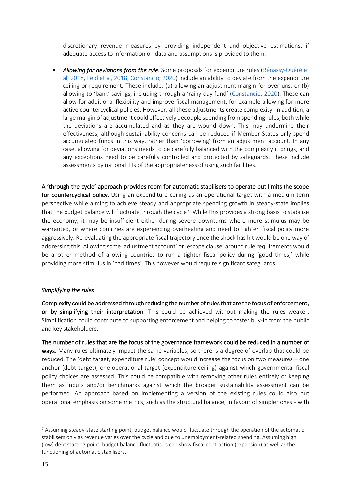discretionary revenue measures by providing independent and objective estimations, if adequate access to information on data and assumptions is provided to them.

• *Allowing for deviations from the rule*. Some proposals for expenditure rules [\(Bénassy-Quéré](https://cadmus.eui.eu/bitstream/handle/1814/50904/PolicyInsight_2018_91.pdf?sequence=1&isAllowed=y) et [al, 2018,](https://cadmus.eui.eu/bitstream/handle/1814/50904/PolicyInsight_2018_91.pdf?sequence=1&isAllowed=y) [Feld et al, 2018,](https://voxeu.org/article/refocusing-european-fiscal-framework) [Constancio, 2020\)](https://link.springer.com/article/10.1057/s41294-020-00122-3#Fig1) include an ability to deviate from the expenditure ceiling or requirement. These include: (a) allowing an adjustment margin for overruns, or (b) allowing to 'bank' savings, including through a 'rainy day fund' [\(Constancio, 2020\)](https://link.springer.com/article/10.1057/s41294-020-00122-3#Fig1). These can allow for additional flexibility and improve fiscal management, for example allowing for more active countercyclical policies. However, all these adjustments create complexity. In addition, a large margin of adjustment could effectively decouple spending from spending rules, both while the deviations are accumulated and as they are wound down. This may undermine their effectiveness, although sustainability concerns can be reduced if Member States only spend accumulated funds in this way, rather than 'borrowing' from an adjustment account. In any case, allowing for deviations needs to be carefully balanced with the complexity it brings, and any exceptions need to be carefully controlled and protected by safeguards. These include assessments by national IFIs of the appropriateness of using such facilities.

A 'through the cycle' approach provides room for automatic stabilisers to operate but limits the scope for countercyclical policy. Using an expenditure ceiling as an operational target with a medium-term perspective while aiming to achieve steady and appropriate spending growth in steady-state implies that the budget balance will fluctuate through the cycle<sup>7</sup>. While this provides a strong basis to stabilise the economy, it may be insufficient either during severe downturns where more stimulus may be warranted, or where countries are experiencing overheating and need to tighten fiscal policy more aggressively. Re-evaluating the appropriate fiscal trajectory once the shock has hit would be one way of addressing this. Allowing some 'adjustment account' or 'escape clause' around rule requirements would be another method of allowing countries to run a tighter fiscal policy during 'good times,' while providing more stimulus in 'bad times'. This however would require significant safeguards.

#### *Simplifying the rules*

Complexity could be addressed through reducing the number of rules that are the focus of enforcement, or by simplifying their interpretation*.* This could be achieved without making the rules weaker. Simplification could contribute to supporting enforcement and helping to foster buy-in from the public and key stakeholders.

The number of rules that are the focus of the governance framework could be reduced in a number of ways. Many rules ultimately impact the same variables, so there is a degree of overlap that could be reduced. The 'debt target, expenditure rule' concept would increase the focus on two measures – one anchor (debt target), one operational target (expenditure ceiling) against which governmental fiscal policy choices are assessed. This could be compatible with removing other rules entirely or keeping them as inputs and/or benchmarks against which the broader sustainability assessment can be performed. An approach based on implementing a version of the existing rules could also put operational emphasis on some metrics, such as the structural balance, in favour of simpler ones - with

 $7$  Assuming steady-state starting point, budget balance would fluctuate through the operation of the automatic stabilisers only as revenue varies over the cycle and due to unemployment-related spending. Assuming high (low) debt starting point, budget balance fluctuations can show fiscal contraction (expansion) as well as the functioning of automatic stabilisers.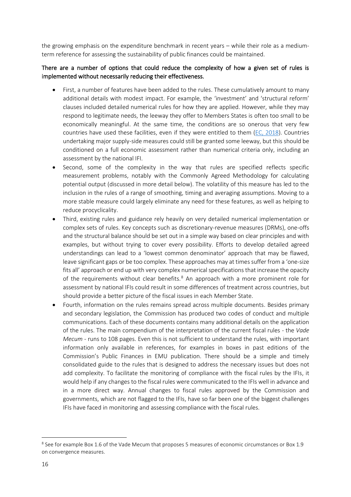the growing emphasis on the expenditure benchmark in recent years – while their role as a mediumterm reference for assessing the sustainability of public finances could be maintained.

#### There are a number of options that could reduce the complexity of how a given set of rules is implemented without necessarily reducing their effectiveness.

- First, a number of features have been added to the rules. These cumulatively amount to many additional details with modest impact. For example, the 'investment' and 'structural reform' clauses included detailed numerical rules for how they are applied. However, while they may respond to legitimate needs, the leeway they offer to Members States is often too small to be economically meaningful. At the same time, the conditions are so onerous that very few countries have used these facilities, even if they were entitled to them [\(EC, 2018\)](https://ec.europa.eu/info/sites/default/files/economy-finance/com_2018_335_en.pdf). Countries undertaking major supply-side measures could still be granted some leeway, but this should be conditioned on a full economic assessment rather than numerical criteria only, including an assessment by the national IFI.
- Second, some of the complexity in the way that rules are specified reflects specific measurement problems, notably with the Commonly Agreed Methodology for calculating potential output (discussed in more detail below). The volatility of this measure has led to the inclusion in the rules of a range of smoothing, timing and averaging assumptions. Moving to a more stable measure could largely eliminate any need for these features, as well as helping to reduce procyclicality.
- Third, existing rules and guidance rely heavily on very detailed numerical implementation or complex sets of rules. Key concepts such as discretionary-revenue measures (DRMs), one-offs and the structural balance should be set out in a simple way based on clear principles and with examples, but without trying to cover every possibility. Efforts to develop detailed agreed understandings can lead to a 'lowest common denominator' approach that may be flawed, leave significant gaps or be too complex. These approaches may at times suffer from a 'one-size fits all' approach or end up with very complex numerical specifications that increase the opacity of the requirements without clear benefits.<sup>8</sup> An approach with a more prominent role for assessment by national IFIs could result in some differences of treatment across countries, but should provide a better picture of the fiscal issues in each Member State.
- Fourth, information on the rules remains spread across multiple documents. Besides primary and secondary legislation, the Commission has produced two codes of conduct and multiple communications. Each of these documents contains many additional details on the application of the rules. The main compendium of the interpretation of the current fiscal rules - the *Vade Mecum* - runs to 108 pages. Even this is not sufficient to understand the rules, with important information only available in references, for examples in boxes in past editions of the Commission's Public Finances in EMU publication. There should be a simple and timely consolidated guide to the rules that is designed to address the necessary issues but does not add complexity. To facilitate the monitoring of compliance with the fiscal rules by the IFIs, it would help if any changes to the fiscal rules were communicated to the IFIs well in advance and in a more direct way. Annual changes to fiscal rules approved by the Commission and governments, which are not flagged to the IFIs, have so far been one of the biggest challenges IFIs have faced in monitoring and assessing compliance with the fiscal rules.

<sup>&</sup>lt;sup>8</sup> See for example Box 1.6 of the Vade Mecum that proposes 5 measures of economic circumstances or Box 1.9 on convergence measures.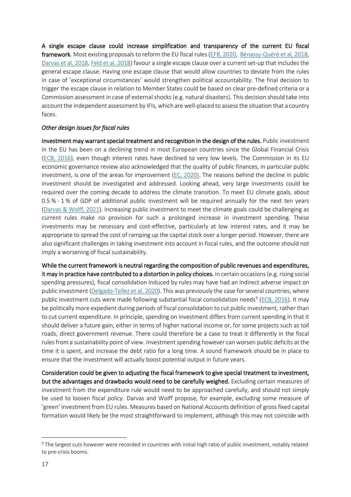A single escape clause could increase simplification and transparency of the current EU fiscal framework. Most existing proposals to reform the EU fiscal rules [\(EFB, 2020,](https://voxeu.org/article/reforming-eu-fiscal-framework-now-time) [Bénassy-Quéré](https://link.springer.com/article/10.1057/s41294-020-00122-3#Fig1) et al, 2018, [Darvas et al, 2018,](https://www.bruegel.org/wp-content/uploads/2018/10/PC-18_2018.pdf) [Feld et al, 2018\)](https://voxeu.org/article/refocusing-european-fiscal-framework) favour a single escape clause over a current set-up that includes the general escape clause. Having one escape clause that would allow countries to deviate from the rules in case of 'exceptional circumstances' would strengthen political accountability. The final decision to trigger the escape clause in relation to Member States could be based on clear pre-defined criteria or a Commission assessment in case of external shocks (e.g. natural disasters). This decision should take into account the independent assessment by IFIs, which are well-placed to assess the situation that a country faces.

#### *Other design issues for fiscal rules*

Investment may warrant special treatment and recognition in the design of the rules. Public investment in the EU has been on a declining trend in most European countries since the Global Financial Crisis [\(EC](https://www.ecb.europa.eu/pub/pdf/other/eb201602_article02.en.pdf)B, 2016), even though interest rates have declined to very low levels. The Commission in its EU economic governance review also acknowledged that the quality of public finances, in particular public investment, is one of the areas for improvement [\(EC](https://ec.europa.eu/info/sites/default/files/economy-finance/swd_2020_210_en.pdf), 2020). The reasons behind the decline in public investment should be investigated and addressed. Looking ahead, very large investments could be required over the coming decade to address the climate transition. To meet EU climate goals, about 0.5 % - 1 % of GDP of additional public investment will be required annually for the next ten years [\(Darvas & Wolff, 2021\)](https://www.bruegel.org/2021/09/a-green-fiscal-pact-climate-investment-in-times-of-budget-consolidation). Increasing public investment to meet the climate goals could be challenging as current rules make no provision for such a prolonged increase in investment spending. These investments may be necessary and cost-effective, particularly at low interest rates, and it may be appropriate to spread the cost of ramping up the capital stock over a longer period. However, there are also significant challenges in taking investment into account in fiscal rules, and the outcome should not imply a worsening of fiscal sustainability.

While the current framework is neutral regarding the composition of public revenues and expenditures, it may in practice have contributed to a distortion in policy choices. In certain occasions (e.g. rising social spending pressures), fiscal consolidation induced by rules may have had an indirect adverse impact on public investment [\(Delgado-Tellez et al, 2020\)](https://www.bde.es/f/webbde/SES/Secciones/Publicaciones/PublicacionesSeriadas/DocumentosTrabajo/20/Files/dt2025e.pdf). This was previously the case for several countries, where public investment cuts were made following substantial fiscal consolidation needs<sup>9</sup> [\(ECB, 2016\)](https://www.ecb.europa.eu/pub/pdf/other/eb201602_article02.en.pdf). It may be politically more expedient during periods of fiscal consolidation to cut public investment, rather than to cut current expenditure. In principle, spending on investment differs from current spending in that it should deliver a future gain, either in terms of higher national income or, for some projects such as toll roads, direct government revenue. There could therefore be a case to treat it differently in the fiscal rules from a sustainability point of view. Investment spending however can worsen public deficits at the time it is spent, and increase the debt ratio for a long time. A sound framework should be in place to ensure that the investment will actually boost potential output in future years.

Consideration could be given to adjusting the fiscal framework to give special treatment to investment, but the advantages and drawbacks would need to be carefully weighed. Excluding certain measures of investment from the expenditure rule would need to be approached carefully, and should not simply be used to loosen fiscal policy. Darvas and Wolff propose, for example, excluding some measure of 'green' investment from EU rules. Measures based on National Accounts definition of gross fixed capital formation would likely be the most straightforward to implement, although this may not coincide with

<sup>&</sup>lt;sup>9</sup> The largest cuts however were recorded in countries with initial high ratio of public investment, notably related to pre-crisis booms.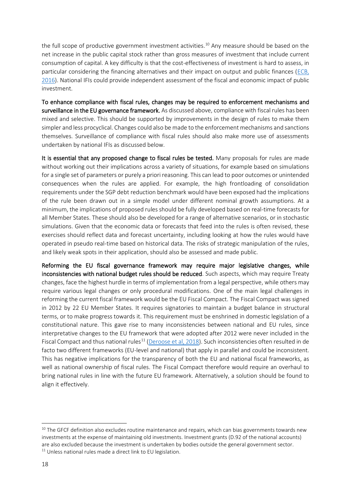the full scope of productive government investment activities.<sup>10</sup> Any measure should be based on the net increase in the public capital stock rather than gross measures of investment that include current consumption of capital. A key difficulty is that the cost-effectiveness of investment is hard to assess, in particular considering the financing alternatives and their impact on output and public finances [\(ECB,](https://www.ecb.europa.eu/pub/pdf/other/eb201602_article02.en.pdf)  [2016\)](https://www.ecb.europa.eu/pub/pdf/other/eb201602_article02.en.pdf). National IFIs could provide independent assessment of the fiscal and economic impact of public investment.

To enhance compliance with fiscal rules, changes may be required to enforcement mechanisms and surveillance in the EU governance framework. As discussed above, compliance with fiscal rules has been mixed and selective. This should be supported by improvements in the design of rules to make them simpler and less procyclical. Changes could also be made to the enforcement mechanisms and sanctions themselves. Surveillance of compliance with fiscal rules should also make more use of assessments undertaken by national IFIs as discussed below.

It is essential that any proposed change to fiscal rules be tested. Many proposals for rules are made without working out their implications across a variety of situations, for example based on simulations for a single set of parameters or purely a priori reasoning. This can lead to poor outcomes or unintended consequences when the rules are applied. For example, the high frontloading of consolidation requirements under the SGP debt reduction benchmark would have been exposed had the implications of the rule been drawn out in a simple model under different nominal growth assumptions. At a minimum, the implications of proposed rules should be fully developed based on real-time forecasts for all Member States. These should also be developed for a range of alternative scenarios, or in stochastic simulations. Given that the economic data or forecasts that feed into the rules is often revised, these exercises should reflect data and forecast uncertainty, including looking at how the rules would have operated in pseudo real-time based on historical data. The risks of strategic manipulation of the rules, and likely weak spots in their application, should also be assessed and made public.

Reforming the EU fiscal governance framework may require major legislative changes, while inconsistencies with national budget rules should be reduced. Such aspects, which may require Treaty changes, face the highest hurdle in terms of implementation from a legal perspective, while others may require various legal changes or only procedural modifications. One of the main legal challenges in reforming the current fiscal framework would be the EU Fiscal Compact. The Fiscal Compact was signed in 2012 by 22 EU Member States. It requires signatories to maintain a budget balance in structural terms, or to make progress towards it. This requirement must be enshrined in domestic legislation of a constitutional nature. This gave rise to many inconsistencies between national and EU rules, since interpretative changes to the EU framework that were adopted after 2012 were never included in the Fiscal Compact and thus national rules<sup>11</sup> [\(Deroose et al, 2018\)](https://voxeu.org/article/eu-fiscal-rules-root-causes-its-complexity). Such inconsistencies often resulted in de facto two different frameworks (EU-level and national) that apply in parallel and could be inconsistent. This has negative implications for the transparency of both the EU and national fiscal frameworks, as well as national ownership of fiscal rules. The Fiscal Compact therefore would require an overhaul to bring national rules in line with the future EU framework. Alternatively, a solution should be found to align it effectively.

<sup>&</sup>lt;sup>10</sup> The GFCF definition also excludes routine maintenance and repairs, which can bias governments towards new investments at the expense of maintaining old investments. Investment grants (D.92 of the national accounts) are also excluded because the investment is undertaken by bodies outside the general government sector. <sup>11</sup> Unless national rules made a direct link to EU legislation.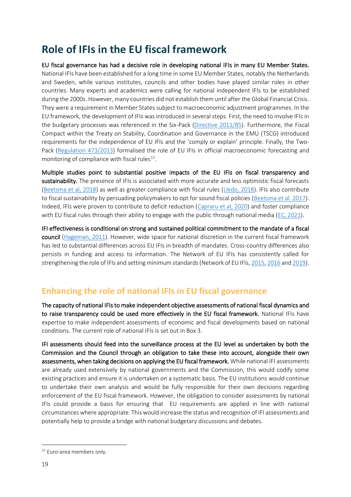## <span id="page-18-0"></span>**Role of IFIs in the EU fiscal framework**

EU fiscal governance has had a decisive role in developing national IFIs in many EU Member States. National IFIs have been established for a long time in some EU Member States, notably the Netherlands and Sweden, while various institutes, councils and other bodies have played similar roles in other countries. Many experts and academics were calling for national independent IFIs to be established during the 2000s. However, many countries did not establish them until after the Global Financial Crisis. They were a requirement in Member States subject to macroeconomic adjustment programmes. In the EU framework, the development of IFIs was introduced in several steps. First, the need to involve IFIs in the budgetary processes was referenced in the Six-Pack [\(Directive 2011/85\)](https://eur-lex.europa.eu/legal-content/en/ALL/?uri=CELEX%3A32011L0085). Furthermore, the Fiscal Compact within the Treaty on Stability, Coordination and Governance in the EMU (TSCG) introduced requirements for the independence of EU IFIs and the 'comply or explain' principle. Finally, the Two-Pack [\(Regulation 473/2013\)](https://eur-lex.europa.eu/legal-content/EN/ALL/?uri=CELEX%3A32013R0473) formalised the role of EU IFIs in official macroeconomic forecasting and monitoring of compliance with fiscal rules<sup>12</sup>.

Multiple studies point to substantial positive impacts of the EU IFIs on fiscal transparency and sustainability. The presence of IFIs is associated with more accurate and less optimistic fiscal forecasts [\(Beetsma et al, 2018\)](https://www.imf.org/en/Publications/WP/Issues/2018/03/23/Independent-Fiscal-Councils-Recent-Trends-and-Performance-45726) as well as greater compliance with fiscal rules [\(Lledo, 2018\)](https://www.imf.org/en/Publications/WP/Issues/2018/03/23/Independent-Fiscal-Councils-Recent-Trends-and-Performance-45726). IFIs also contribute to fiscal sustainability by persuading policymakers to opt for sound fiscal policies [\(Beetsma et al. 2017\)](https://www.imf.org/en/Publications/WP/Issues/2017/09/01/The-Political-Economy-of-Fiscal-Transparency-and-Independent-Fiscal-Councils-45146). Indeed, IFIs were proven to contribute to deficit reduction [\(Capraru et al, 2020\)](https://ideas.repec.org/p/ane/wpcfro/201101.html) and foster compliance with EU fiscal rules through their ability to engage with the public through national media [\(EC, 2021\)](https://ec.europa.eu/info/sites/default/files/economy-finance/ip147_en.pdf).

IFI effectiveness is conditional on strong and sustained political commitment to the mandate of a fiscal council [\(Hageman, 2011\)](https://www.oecd.org/economy/growth/fiscal%20councils%20fiscal%20performance.pdf). However, wide space for national discretion in the current fiscal framework has led to substantial differences across EU IFIs in breadth of mandates. Cross-country differences also persists in funding and access to information. The Network of EU IFIs has consistently called for strengthening the role of IFIs and setting minimum standards (Network of EU IFIs[, 2015,](https://www.euifis.eu/download2/EUIFIS_network_position_paper_final_02.pdf) [2016](https://www.euifis.eu/download2/minimumstandards_final.pdf) an[d 2019\)](https://www.euifis.eu/download/statement_reinforcing_and_protecting_ifi_s.pdf).

### <span id="page-18-1"></span>**Enhancing the role of national IFIs in EU fiscal governance**

The capacity of national IFIs to make independent objective assessments of national fiscal dynamics and to raise transparency could be used more effectively in the EU fiscal framework. National IFIs have expertise to make independent assessments of economic and fiscal developments based on national conditions. The current role of national IFIs is set out in Box 3.

IFI assessments should feed into the surveillance process at the EU level as undertaken by both the Commission and the Council through an obligation to take these into account, alongside their own assessments, when taking decisions on applying the EU fiscal framework. While national IFI assessments are already used extensively by national governments and the Commission, this would codify some existing practices and ensure it is undertaken on a systematic basis. The EU institutions would continue to undertake their own analysis and would be fully responsible for their own decisions regarding enforcement of the EU fiscal framework. However, the obligation to consider assessments by national IFIs could provide a basis for ensuring that EU requirements are applied in line with national circumstances where appropriate. This would increase the status and recognition of IFI assessments and potentially help to provide a bridge with national budgetary discussions and debates.

<sup>&</sup>lt;sup>12</sup> Euro-area members only.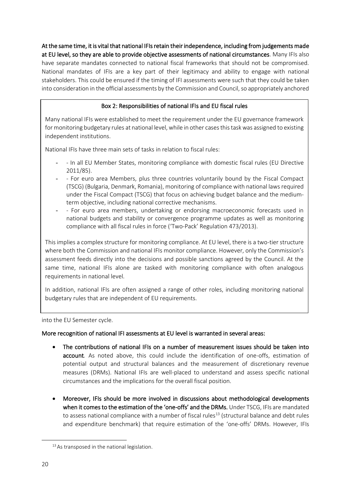At the same time, it is vital that national IFIs retain their independence, including from judgements made at EU level, so they are able to provide objective assessments of national circumstances. Many IFIs also have separate mandates connected to national fiscal frameworks that should not be compromised. National mandates of IFIs are a key part of their legitimacy and ability to engage with national stakeholders. This could be ensured if the timing of IFI assessments were such that they could be taken into consideration in the official assessments by the Commission and Council, so appropriately anchored

#### Box 2: Responsibilities of national IFIs and EU fiscal rules

Many national IFIs were established to meet the requirement under the EU governance framework for monitoring budgetary rules at national level, while in other cases this task was assigned to existing independent institutions.

National IFIs have three main sets of tasks in relation to fiscal rules:

- - In all EU Member States, monitoring compliance with domestic fiscal rules (EU Directive 2011/85).
- - For euro area Members, plus three countries voluntarily bound by the Fiscal Compact (TSCG) (Bulgaria, Denmark, Romania), monitoring of compliance with national laws required under the Fiscal Compact (TSCG) that focus on achieving budget balance and the mediumterm objective, including national corrective mechanisms.
- - For euro area members, undertaking or endorsing macroeconomic forecasts used in national budgets and stability or convergence programme updates as well as monitoring compliance with all fiscal rules in force ('Two-Pack' Regulation 473/2013).

This implies a complex structure for monitoring compliance. At EU level, there is a two-tier structure where both the Commission and national IFIs monitor compliance. However, only the Commission's assessment feeds directly into the decisions and possible sanctions agreed by the Council. At the same time, national IFIs alone are tasked with monitoring compliance with often analogous requirements in national level.

In addition, national IFIs are often assigned a range of other roles, including monitoring national budgetary rules that are independent of EU requirements.

into the EU Semester cycle.

#### More recognition of national IFI assessments at EU level is warranted in several areas:

- The contributions of national IFIs on a number of measurement issues should be taken into account*.* As noted above, this could include the identification of one-offs, estimation of potential output and structural balances and the measurement of discretionary revenue measures (DRMs). National IFIs are well-placed to understand and assess specific national circumstances and the implications for the overall fiscal position.
- Moreover, IFIs should be more involved in discussions about methodological developments when it comes to the estimation of the 'one-offs' and the DRMs. Under TSCG, IFIs are mandated to assess national compliance with a number of fiscal rules<sup>13</sup> (structural balance and debt rules and expenditure benchmark) that require estimation of the 'one-offs' DRMs. However, IFIs

<sup>&</sup>lt;sup>13</sup> As transposed in the national legislation.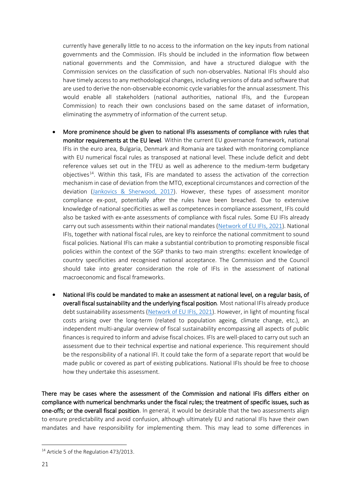currently have generally little to no access to the information on the key inputs from national governments and the Commission. IFIs should be included in the information flow between national governments and the Commission, and have a structured dialogue with the Commission services on the classification of such non-observables. National IFIs should also have timely access to any methodological changes, including versions of data and software that are used to derive the non-observable economic cycle variables for the annual assessment. This would enable all stakeholders (national authorities, national IFIs, and the European Commission) to reach their own conclusions based on the same dataset of information, eliminating the asymmetry of information of the current setup.

- More prominence should be given to national IFIs assessments of compliance with rules that monitor requirements at the EU level*.* Within the current EU governance framework, national IFIs in the euro area, Bulgaria, Denmark and Romania are tasked with monitoring compliance with EU numerical fiscal rules as transposed at national level. These include deficit and debt reference values set out in the TFEU as well as adherence to the medium-term budgetary objectives<sup>14</sup>. Within this task, IFIs are mandated to assess the activation of the correction mechanism in case of deviation from the MTO, exceptional circumstances and correction of the deviation [\(Jankovics & Sherwood, 2017\)](https://ec.europa.eu/info/sites/default/files/dp_067_en.pdf). However, these types of assessment monitor compliance ex-post, potentially after the rules have been breached. Due to extensive knowledge of national specificities as well as competences in compliance assessment, IFIs could also be tasked with ex-ante assessments of compliance with fiscal rules. Some EU IFIs already carry out such assessments within their national mandates [\(Network of EU IFIs, 2021\)](https://www.euifis.eu/eng/fiscal/302/how-to-strengthen-fiscal-surveillance-towards-a-medium-term-focus). National IFIs, together with national fiscal rules, are key to reinforce the national commitment to sound fiscal policies. National IFIs can make a substantial contribution to promoting responsible fiscal policies within the context of the SGP thanks to two main strengths: excellent knowledge of country specificities and recognised national acceptance. The Commission and the Council should take into greater consideration the role of IFIs in the assessment of national macroeconomic and fiscal frameworks.
- National IFIs could be mandated to make an assessment at national level, on a regular basis, of overall fiscal sustainability and the underlying fiscal position*.* Most national IFIs already produce debt sustainability assessments [\(Network of EU IFIs, 2021\)](https://www.euifis.eu/eng/fiscal/301/the-public-debt-outlook-in-the-emu-post-covid-a-key-challenge-for-the). However, in light of mounting fiscal costs arising over the long-term (related to population ageing, climate change, etc.), an independent multi-angular overview of fiscal sustainability encompassing all aspects of public finances is required to inform and advise fiscal choices. IFIs are well-placed to carry out such an assessment due to their technical expertise and national experience. This requirement should be the responsibility of a national IFI. It could take the form of a separate report that would be made public or covered as part of existing publications. National IFIs should be free to choose how they undertake this assessment.

There may be cases where the assessment of the Commission and national IFIs differs either on compliance with numerical benchmarks under the fiscal rules; the treatment of specific issues, such as one-offs; or the overall fiscal position. In general, it would be desirable that the two assessments align to ensure predictability and avoid confusion, although ultimately EU and national IFIs have their own mandates and have responsibility for implementing them. This may lead to some differences in

<sup>&</sup>lt;sup>14</sup> Article 5 of the Regulation 473/2013.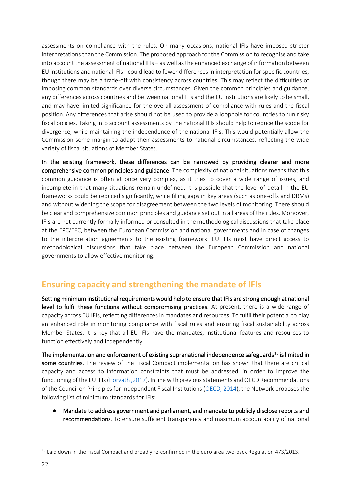assessments on compliance with the rules. On many occasions, national IFIs have imposed stricter interpretations than the Commission. The proposed approach for the Commission to recognise and take into account the assessment of national IFIs – as well as the enhanced exchange of information between EU institutions and national IFIs - could lead to fewer differences in interpretation for specific countries, though there may be a trade-off with consistency across countries. This may reflect the difficulties of imposing common standards over diverse circumstances. Given the common principles and guidance, any differences across countries and between national IFIs and the EU institutions are likely to be small, and may have limited significance for the overall assessment of compliance with rules and the fiscal position. Any differences that arise should not be used to provide a loophole for countries to run risky fiscal policies. Taking into account assessments by the national IFIs should help to reduce the scope for divergence, while maintaining the independence of the national IFIs. This would potentially allow the Commission some margin to adapt their assessments to national circumstances, reflecting the wide variety of fiscal situations of Member States.

In the existing framework, these differences can be narrowed by providing clearer and more comprehensive common principles and guidance. The complexity of national situations means that this common guidance is often at once very complex, as it tries to cover a wide range of issues, and incomplete in that many situations remain undefined. It is possible that the level of detail in the EU frameworks could be reduced significantly, while filling gaps in key areas (such as one-offs and DRMs) and without widening the scope for disagreement between the two levels of monitoring. There should be clear and comprehensive common principles and guidance set out in all areas of the rules. Moreover, IFIs are not currently formally informed or consulted in the methodological discussions that take place at the EPC/EFC, between the European Commission and national governments and in case of changes to the interpretation agreements to the existing framework. EU IFIs must have direct access to methodological discussions that take place between the European Commission and national governments to allow effective monitoring.

### <span id="page-21-0"></span>**Ensuring capacity and strengthening the mandate of IFIs**

Setting minimum institutional requirements would help to ensure that IFIs are strong enough at national level to fulfil these functions without compromising practices. At present, there is a wide range of capacity across EU IFIs, reflecting differences in mandates and resources. To fulfil their potential to play an enhanced role in monitoring compliance with fiscal rules and ensuring fiscal sustainability across Member States, it is key that all EU IFIs have the mandates, institutional features and resources to function effectively and independently.

The implementation and enforcement of existing supranational independence safeguards<sup>15</sup> is limited in some countries. The review of the Fiscal Compact implementation has shown that there are critical capacity and access to information constraints that must be addressed, in order to improve the functioning of the EU IFIs [\(Horvath ,2017\)](https://www.rozpoctovarada.sk/download2/dp1_2017_fc_in_action_01.pdf). In line with previous statements and OECD Recommendations of the Council on Principles for Independent Fiscal Institutions [\(OECD, 2014\)](https://www.oecd.org/gov/budgeting/OECD-Recommendation-on-Principles-for-Independent-Fiscal-Institutions.pdf), the Network proposes the following list of minimum standards for IFIs:

● Mandate to address government and parliament, and mandate to publicly disclose reports and recommendations. To ensure sufficient transparency and maximum accountability of national

<sup>&</sup>lt;sup>15</sup> Laid down in the Fiscal Compact and broadly re-confirmed in the euro area two-pack Regulation 473/2013.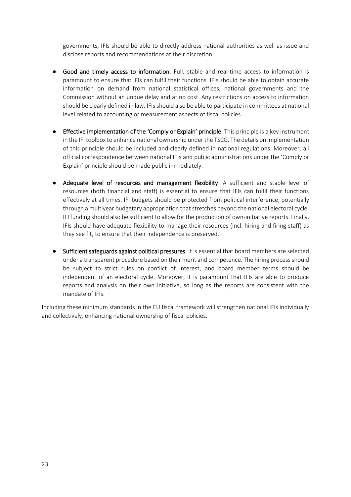governments, IFIs should be able to directly address national authorities as well as issue and disclose reports and recommendations at their discretion.

- Good and timely access to information. Full, stable and real-time access to information is paramount to ensure that IFIs can fulfil their functions. IFIs should be able to obtain accurate information on demand from national statistical offices, national governments and the Commission without an undue delay and at no cost. Any restrictions on access to information should be clearly defined in law. IFIs should also be able to participate in committees at national level related to accounting or measurement aspects of fiscal policies.
- Effective implementation of the 'Comply or Explain' principle. This principle is a key instrument in the IFI toolbox to enhance national ownership under the TSCG. The details on implementation of this principle should be included and clearly defined in national regulations. Moreover, all official correspondence between national IFIs and public administrations under the 'Comply or Explain' principle should be made public immediately.
- Adequate level of resources and management flexibility. A sufficient and stable level of resources (both financial and staff) is essential to ensure that IFIs can fulfil their functions effectively at all times. IFI budgets should be protected from political interference, potentially through a multiyear budgetary appropriation that stretches beyond the national electoral cycle. IFI funding should also be sufficient to allow for the production of own-initiative reports. Finally, IFIs should have adequate flexibility to manage their resources (incl. hiring and firing staff) as they see fit, to ensure that their independence is preserved.
- Sufficient safeguards against political pressures. It is essential that board members are selected under a transparent procedure based on their merit and competence. The hiring process should be subject to strict rules on conflict of interest, and board member terms should be independent of an electoral cycle. Moreover, it is paramount that IFIs are able to produce reports and analysis on their own initiative, so long as the reports are consistent with the mandate of IFIs.

Including these minimum standards in the EU fiscal framework will strengthen national IFIs individually and collectively, enhancing national ownership of fiscal policies.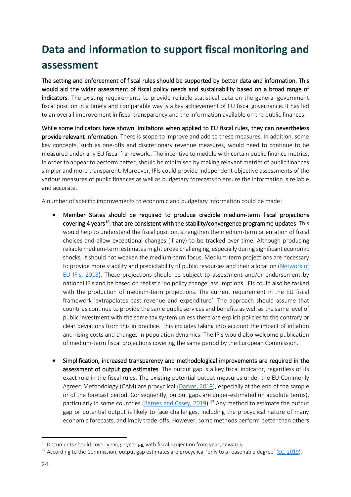# <span id="page-23-0"></span>**Data and information to support fiscal monitoring and assessment**

The setting and enforcement of fiscal rules should be supported by better data and information. This would aid the wider assessment of fiscal policy needs and sustainability based on a broad range of indicators. The existing requirements to provide reliable statistical data on the general government fiscal position in a timely and comparable way is a key achievement of EU fiscal governance. It has led to an overall improvement in fiscal transparency and the information available on the public finances.

While some indicators have shown limitations when applied to EU fiscal rules, they can nevertheless provide relevant information. There is scope to improve and add to these measures. In addition, some key concepts, such as one-offs and discretionary revenue measures, would need to continue to be measured under any EU fiscal framework.. The incentive to meddle with certain public finance metrics, in order to appear to perform better, should be minimised by making relevant metrics of public finances simpler and more transparent. Moreover, IFIs could provide independent objective assessments of the various measures of public finances as well as budgetary forecasts to ensure the information is reliable and accurate.

A number of specific improvements to economic and budgetary information could be made:

- Member States should be required to produce credible medium-term fiscal projections covering 4 years<sup>16</sup>, that are consistent with the stability/convergence programme updates. This would help to understand the fiscal position, strengthen the medium-term orientation of fiscal choices and allow exceptional changes (if any) to be tracked over time. Although producing reliable medium-term estimates might prove challenging, especially during significant economic shocks, it should not weaken the medium-term focus. Medium-term projections are necessary to provide more stability and predictability of public resources and their allocation [\(Network of](https://www.euifis.eu/images/MTBF_PAPER.pdf)  [EU IFIs, 2018\)](https://www.euifis.eu/images/MTBF_PAPER.pdf). These projections should be subject to assessment and/or endorsement by national IFIs and be based on realistic 'no policy change' assumptions. IFIs could also be tasked with the production of medium-term projections. The current requirement in the EU fiscal framework 'extrapolates past revenue and expenditure'. The approach should assume that countries continue to provide the same public services and benefits as well as the same level of public investment with the same tax system unless there are explicit policies to the contrary or clear deviations from this in practice. This includes taking into account the impact of inflation and rising costs and changes in population dynamics. The IFIs would also welcome publication of medium-term fiscal projections covering the same period by the European Commission.
- Simplification, increased transparency and methodological improvements are required in the assessment of output gap estimates. The output gap is a key fiscal indicator, regardless of its exact role in the fiscal rules. The existing potential output measures under the EU Commonly Agreed Methodology (CAM) are procyclical [\(Darvas, 2019\)](https://www.bruegel.org/2019/10/why-structural-balances-should-be-scrapped-from-eu-fiscal-rules/), especially at the end of the sample or of the forecast period. Consequently, output gaps are under-estimated (in absolute terms), particularly in some countries [\(Barnes and Casey, 2019\)](https://voxeu.org/article/euro-area-budget-rules-spending-must-avoid-pro-cyclicality-trap).<sup>17</sup> Any method to estimate the output gap or potential output is likely to face challenges, including the procyclical nature of many economic forecasts, and imply trade-offs. However, some methods perform better than others

 $16$  Documents should cover yeart-1 - year t+3, with fiscal projection from yeart onwards.

 $17$  According to the Commission, output gap estimates are procyclical 'only to a reasonable degree' ( $EC$ , 2019).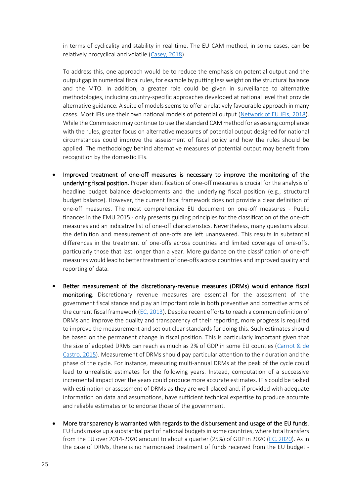in terms of cyclicality and stability in real time. The EU CAM method, in some cases, can be relatively procyclical and volatile [\(Casey, 2018\)](https://www.fiscalcouncil.ie/wp-content/uploads/2018/01/Casey-E-2018-Estimating-Irelands-Output-Gap.pdf).

To address this, one approach would be to reduce the emphasis on potential output and the output gap in numerical fiscal rules, for example by putting less weight on the structural balance and the MTO. In addition, a greater role could be given in surveillance to alternative methodologies, including country-specific approaches developed at national level that provide alternative guidance. A suite of models seems to offer a relatively favourable approach in many cases. Most IFIs use their own national models of potential output [\(Network of EU IFIs, 2018\)](https://www.euifis.eu/download/ogwg_paper.pdf). While the Commission may continue to use the standard CAM method for assessing compliance with the rules, greater focus on alternative measures of potential output designed for national circumstances could improve the assessment of fiscal policy and how the rules should be applied. The methodology behind alternative measures of potential output may benefit from recognition by the domestic IFIs.

- Improved treatment of one-off measures is necessary to improve the monitoring of the underlying fiscal position. Proper identification of one-off measures is crucial for the analysis of headline budget balance developments and the underlying fiscal position (e.g., structural budget balance). However, the current fiscal framework does not provide a clear definition of one-off measures. The most comprehensive EU document on one-off measures - Public finances in the EMU 2015 - only presents guiding principles for the classification of the one-off measures and an indicative list of one-off characteristics. Nevertheless, many questions about the definition and measurement of one-offs are left unanswered. This results in substantial differences in the treatment of one-offs across countries and limited coverage of one-offs, particularly those that last longer than a year. More guidance on the classification of one-off measures would lead to better treatment of one-offs across countries and improved quality and reporting of data.
- Better measurement of the discretionary-revenue measures (DRMs) would enhance fiscal monitoring. Discretionary revenue measures are essential for the assessment of the government fiscal stance and play an important role in both preventive and corrective arms of the current fiscal framework [\(EC, 2013\)](https://ec.europa.eu/economy_finance/publications/economic_paper/2013/pdf/ecp499_en.pdf). Despite recent efforts to reach a common definition of DRMs and improve the quality and transparency of their reporting, more progress is required to improve the measurement and set out clear standards for doing this. Such estimates should be based on the permanent change in fiscal position. This is particularly important given that the size of adopted DRMs can reach as much as 2% of GDP in some EU counties [\(Carnot & de](https://ec.europa.eu/economy_finance/publications/economic_paper/2015/pdf/ecp543_en.pdf)  [Castro, 2015\)](https://ec.europa.eu/economy_finance/publications/economic_paper/2015/pdf/ecp543_en.pdf). Measurement of DRMs should pay particular attention to their duration and the phase of the cycle. For instance, measuring multi-annual DRMs at the peak of the cycle could lead to unrealistic estimates for the following years. Instead, computation of a successive incremental impact over the years could produce more accurate estimates. IFIs could be tasked with estimation or assessment of DRMs as they are well-placed and, if provided with adequate information on data and assumptions, have sufficient technical expertise to produce accurate and reliable estimates or to endorse those of the government.
- More transparency is warranted with regards to the disbursement and usage of the EU funds. EU funds make up a substantial part of national budgets in some countries, where total transfers from the EU over 2014-2020 amount to about a quarter (25%) of GDP in 2020 [\(EC, 2020\)](https://ec.europa.eu/info/sites/default/files/about_the_european_commission/eu_budget/pre-allocations-mff-2014-2020_en.pdf). As in the case of DRMs, there is no harmonised treatment of funds received from the EU budget -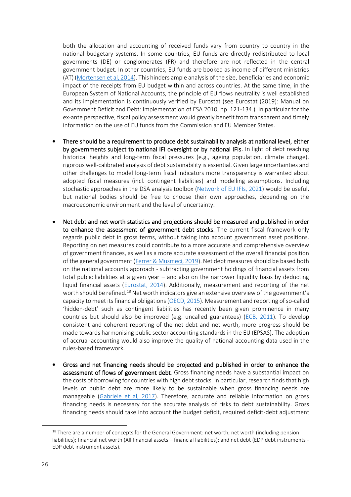both the allocation and accounting of received funds vary from country to country in the national budgetary systems. In some countries, EU funds are directly redistributed to local governments (DE) or conglomerates (FR) and therefore are not reflected in the central government budget. In other countries, EU funds are booked as income of different ministries (AT) [\(Mortensen et al, 2014\)](https://www.ceps.eu/wp-content/uploads/2014/10/Report.pdf). This hinders ample analysis of the size, beneficiaries and economic impact of the receipts from EU budget within and across countries. At the same time, in the European System of National Accounts, the principle of EU flows neutrality is well established and its implementation is continuously verified by Eurostat (see Eurostat (2019): Manual on Government Deficit and Debt: Implementation of ESA 2010, pp. 121-134.). In particular for the ex-ante perspective, fiscal policy assessment would greatly benefit from transparent and timely information on the use of EU funds from the Commission and EU Member States.

- There should be a requirement to produce debt sustainability analysis at national level, either by governments subject to national IFI oversight or by national IFIs. In light of debt reaching historical heights and long-term fiscal pressures (e.g., ageing population, climate change), rigorous well-calibrated analysis of debt sustainability is essential. Given large uncertainties and other challenges to model long-term fiscal indicators more transparency is warranted about adopted fiscal measures (incl. contingent liabilities) and modelling assumptions. Including stochastic approaches in the DSA analysis toolbox [\(Network of EU IFIs, 2021\)](https://www.euifis.eu/images/Network%20of%20EU%20IFIs%20-%20The%20Role%20of%20IFIs%20in%20assessing%20sustainability%20of%20high%20public%20debt%20post-Covid(1).pdf) would be useful, but national bodies should be free to choose their own approaches, depending on the macroeconomic environment and the level of uncertainty.
- Net debt and net worth statistics and projections should be measured and published in order to enhance the assessment of government debt stocks. The current fiscal framework only regards public debt in gross terms, without taking into account government asset positions. Reporting on net measures could contribute to a more accurate and comprehensive overview of government finances, as well as a more accurate assessment of the overall financial position of the general government [\(Ferrer & Musmeci, 2019\)](https://www.ceps.eu/wp-content/uploads/2019/03/Beyond%20Public%20Debt_0.pdf). Net debt measures should be based both on the national accounts approach - subtracting government holdings of financial assets from total public liabilities at a given year – and also on the narrower liquidity basis by deducting liquid financial assets [\(Eurostat, 2014\)](https://ec.europa.eu/eurostat/web/products-statistical-working-papers/-/KS-TC-14-005). Additionally, measurement and reporting of the net worth should be refined.<sup>18</sup> Net worth indicators give an extensive overview of the government's capacity to meet its financial obligations[\(OECD, 2015\)](https://www.oecd-ilibrary.org/docserver/gov_glance-2015-11-en.pdf?expires=1621929735&id=id&accname=guest&checksum=8FFB1E0AFD34F7E97A3DE12285F82A46#:~:text=The%20financial%20net%20worth%20of,value%20of%20its%20outstanding%20liabilities.). Measurement and reporting of so-called 'hidden-debt' such as contingent liabilities has recently been given prominence in many countries but should also be improved (e.g. uncalled guarantees) [\(ECB, 2011\)](https://www.ecb.europa.eu/pub/pdf/scpops/ecbocp132.pdf). To develop consistent and coherent reporting of the net debt and net worth, more progress should be made towards harmonising public sector accounting standards in the EU (EPSAS). The adoption of accrual-accounting would also improve the quality of national accounting data used in the rules-based framework.
- Gross and net financing needs should be projected and published in order to enhance the assessment of flows of government debt. Gross financing needs have a substantial impact on the costs of borrowing for countries with high debt stocks. In particular, research finds that high levels of public debt are more likely to be sustainable when gross financing needs are manageable [\(Gabriele et al, 2017\)](https://www.esm.europa.eu/sites/default/files/wp24final_0.pdf). Therefore, accurate and reliable information on gross financing needs is necessary for the accurate analysis of risks to debt sustainability. Gross financing needs should take into account the budget deficit, required deficit-debt adjustment

 $18$  There are a number of concepts for the General Government: net worth; net worth (including pension liabilities); financial net worth (All financial assets – financial liabilities); and net debt (EDP debt instruments - EDP debt instrument assets).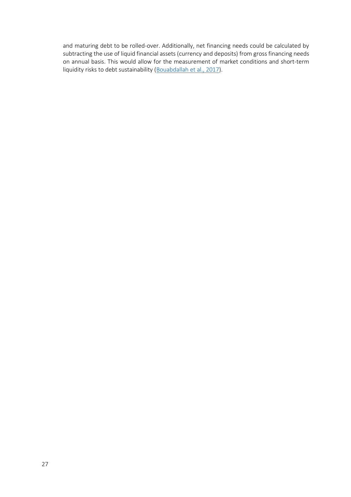and maturing debt to be rolled-over. Additionally, net financing needs could be calculated by subtracting the use of liquid financial assets (currency and deposits) from gross financing needs on annual basis. This would allow for the measurement of market conditions and short-term liquidity risks to debt sustainability [\(Bouabdallah et al., 2017\)](https://www.econstor.eu/bitstream/10419/162202/1/884528847.pdf).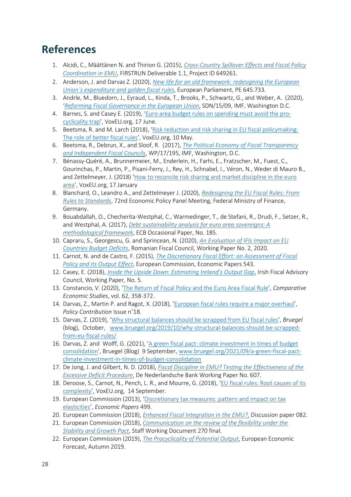## <span id="page-27-0"></span>**References**

- 1. Alcidi, C., Määttänen N. and Thirion G. (2015), *[Cross-Country Spillover Effects and Fiscal Policy](https://ec.europa.eu/research/participants/documents/downloadPublic?documentIds=080166e5a428f6c2&appId=PPGMS)  [Coordination in EMU](https://ec.europa.eu/research/participants/documents/downloadPublic?documentIds=080166e5a428f6c2&appId=PPGMS)*, FIRSTRUN Deliverable 1.1, Project ID 649261.
- 2. Anderson, J. and Darvas Z. (2020), *[New life for an old framework: redesigning the European](https://www.bruegel.org/wp-content/uploads/2020/10/IPOL_STU2020645733_EN.pdf)  [Union´s expenditure and golden fiscal rules](https://www.bruegel.org/wp-content/uploads/2020/10/IPOL_STU2020645733_EN.pdf)*, European Parliament, PE 645.733.
- 3. Andrle, M., Bluedorn, J., Eyraud, L., Kinda, T., Brooks, P., Schwartz, G., and Weber, A. (2020), '*[Reforming Fiscal Governance in the European](https://www.imf.org/external/pubs/ft/sdn/2015/sdn1509.pdf) Union*, SDN/15/09, IMF, Washington D.C.
- 4. Barnes, S. and Casey E. (2019), '[Euro area budget rules on spending must avoid the pro](https://voxeu.org/article/euro-area-budget-rules-spending-must-avoid-pro-cyclicality-trap)[cyclicality trap](https://voxeu.org/article/euro-area-budget-rules-spending-must-avoid-pro-cyclicality-trap)', VoxEU.org, 17 June.
- 5. Beetsma, R. and M. Larch (2018), 'Risk reduction and risk sharing in EU fiscal policymaking: [The role of better fiscal rules](https://voxeu.org/article/risk-reduction-and-risk-sharing-eu-role-better-fiscal-rules)', VoxEU.org, 10 May.
- 6. Beetsma, R., Debrun, X., and Sloof, R. (2017), *[The Political Economy of Fiscal Transparency](file:///C:/Users/inna/Downloads/wp17195.pdf)  [and Independent Fiscal Councils](file:///C:/Users/inna/Downloads/wp17195.pdf)*, WP/17/195, IMF, Washington, D.C.
- 7. Bénassy-Quéré, A., Brunnermeier, M., Enderlein, H., Farhi, E., Fratzscher, M., Fuest, C., Gourinchas, P., Martin, P., Pisani-Ferry, J., Rey, H., Schnabel, I., Véron, N., Weder di Mauro B., and Zettelmeyer, J. (2018) 'How to reconcile risk sharing and market discipline in the euro [area](https://voxeu.org/article/how-reconcile-risk-sharing-and-market-discipline-euro-area)', VoxEU.org, 17 January
- 8. Blanchard, O., Leandro A., and Zettelmeyer J. (2020), *[Redesigning the EU Fiscal Rules: From](https://www.economic-policy.org/wp-content/uploads/2020/10/9100_Redesigning-EU-Fiscal-Rules.pdf)  [Rules to Standards](https://www.economic-policy.org/wp-content/uploads/2020/10/9100_Redesigning-EU-Fiscal-Rules.pdf)*, 72nd Economic Policy Panel Meeting, Federal Ministry of Finance, Germany.
- 9. Bouabdallah, O., Checherita-Westphal, C., Warmedinger, T., de Stefani, R., Drudi, F., Setzer, R., and Westphal, A. (2017), *[Debt sustainability analysis for euro area sovereigns: A](https://www.econstor.eu/bitstream/10419/162202/1/884528847.pdf)  [methodological framework](https://www.econstor.eu/bitstream/10419/162202/1/884528847.pdf)*, ECB Occasional Paper, No. 185.
- 10. Capraru, S., Georgescu, G. and Sprincean, N. (2020), *[An Evaluation of IFIs Impact on EU](https://papers.ssrn.com/sol3/papers.cfm?abstract_id=3734432)  [Countries Budget Deficits](https://papers.ssrn.com/sol3/papers.cfm?abstract_id=3734432)*, Romanian Fiscal Council, Working Paper No. 2, 2020.
- 11. Carnot, N. and de Castro, F. (2015), *[The Discretionary Fiscal Effort: an Assessment of Fiscal](https://ec.europa.eu/economy_finance/publications/economic_paper/2015/pdf/ecp543_en.pdf)  [Policy and its Output Effect](https://ec.europa.eu/economy_finance/publications/economic_paper/2015/pdf/ecp543_en.pdf)*, European Commission, Economic Papers 543.
- 12. Casey, E. (2018), *[Inside the Upside Down: Estimating Ireland's Output Gap](https://www.fiscalcouncil.ie/wp-content/uploads/2018/01/Casey-E-2018-Estimating-Irelands-Output-Gap.pdf)*, Irish Fiscal Advisory Council, Working Paper, No. 5.
- 13. Constancio, V. (2020), '[The Return of Fiscal Policy and the Euro Area Fiscal Rule](https://link.springer.com/article/10.1057/s41294-020-00122-3#Fig1)', *Comparative Economic Studies*, vol. 62, 358-372.
- 14. Darvas, Z., Martin P. and Ragot, X. (2018), '[European fiscal rules require a major overhaul](https://www.bruegel.org/wp-content/uploads/2018/10/PC-18_2018.pdf)', *Policy Contribution* Issue n˚18.
- 15. Darvas, Z. (2019), '[Why structural balances should be scrapped from EU fiscal rules](https://www.bruegel.org/2019/10/why-structural-balances-should-be-scrapped-from-eu-fiscal-rules/)', *Bruegel* (blog), October, [www.bruegel.org/2019/10/why-structural-balances-should-be-scrapped](http://www.bruegel.org/2019/10/why-structural-balances-should-be-scrapped-from-eu-fiscal-rules/)[from-eu-fiscal-rules/](http://www.bruegel.org/2019/10/why-structural-balances-should-be-scrapped-from-eu-fiscal-rules/)
- 16. Darvas, Z. and Wolff, G. (2021), '[A green fiscal pact: climate investment in times of budget](https://www.bruegel.org/2021/09/a-green-fiscal-pact-climate-investment-in-times-of-budget-consolidation)  [consolidation](https://www.bruegel.org/2021/09/a-green-fiscal-pact-climate-investment-in-times-of-budget-consolidation)', Bruegel (Blog) 9 September, [www.bruegel.org/2021/09/a-green-fiscal-pact](http://www.bruegel.org/2021/09/a-green-fiscal-pact-climate-investment-in-times-of-budget-consolidation)[climate-investment-in-times-of-budget-consolidation](http://www.bruegel.org/2021/09/a-green-fiscal-pact-climate-investment-in-times-of-budget-consolidation)
- 17. De Jong, J. and Gilbert, N. D. (2018), *[Fiscal Discipline in EMU? Testing the Effectiveness of the](https://poseidon01.ssrn.com/delivery.php?ID=497104031021106092081108022120100004003044057035002028109092107094000122081103096007024026006007024061114115071116016065021022049061090039081012102112080076119107071007018054111082085103112099094112004103088114006095025068020067121005086122115076123020&EXT=pdf&INDEX=TRUE)  [Excessive Deficit Procedure](https://poseidon01.ssrn.com/delivery.php?ID=497104031021106092081108022120100004003044057035002028109092107094000122081103096007024026006007024061114115071116016065021022049061090039081012102112080076119107071007018054111082085103112099094112004103088114006095025068020067121005086122115076123020&EXT=pdf&INDEX=TRUE)*, De Nederlandsche Bank Working Paper No. 607.
- 18. Deroose, S., Carnot, N., Pench, L. R., and Mourre, G. (2018), 'EU fiscal rules: Root causes of its [complexity](https://voxeu.org/article/eu-fiscal-rules-root-causes-its-complexity)', VoxEU.org, 14 September.
- 19. European Commission (2013), '[Discretionary tax measures: pattern and impact on tax](https://ec.europa.eu/economy_finance/publications/economic_paper/2013/pdf/ecp499_en.pdf)  [elasticities](https://ec.europa.eu/economy_finance/publications/economic_paper/2013/pdf/ecp499_en.pdf)', *Economic Papers* 499.
- 20. European Commission (2018), *[Enhanced Fiscal Integration in the EMU?](https://ec.europa.eu/info/sites/default/files/economy-finance/dp082_en.pdf)*, Discussion paper 082.
- 21. European Commission (2018), *[Communication on the review of the flexibility under the](https://ec.europa.eu/info/sites/default/files/economy-finance/com_2018_335_en.pdf)  [Stability and Growth Pact](https://ec.europa.eu/info/sites/default/files/economy-finance/com_2018_335_en.pdf)*, Staff Working Document 270 final.
- 22. European Commission (2019), *[The Procyclicality of Potential Output](https://ec.europa.eu/info/sites/default/files/economy-finance/ecfin_forecast_autumn_2019_special-issue-3_en.pdf)*, European Economic Forecast, Autumn 2019.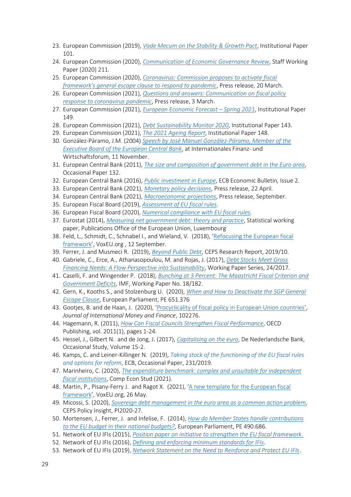- 23. European Commission (2019), *[Vade Mecum on the Stability & Growth Pact](https://ec.europa.eu/info/sites/default/files/economy-finance/ip101_en.pdf)*, Institutional Paper 101.
- 24. European Commission (2020), *[Communication of Economic Governance Review](https://ec.europa.eu/info/sites/default/files/economy-finance/com_2020_55_en.pdf)*, Staff Working Paper (2020) 211.
- 25. European Commission (2020), *[Coronavirus: Commission proposes to activate fiscal](https://ec.europa.eu/commission/presscorner/detail/en/IP_20_499)  [framework's general escape clause to respond to pandemic](https://ec.europa.eu/commission/presscorner/detail/en/IP_20_499)*, Press release, 20 March.
- 26. European Commission (2021), *[Questions and answers: Communication on fiscal policy](https://ec.europa.eu/commission/presscorner/detail/en/qanda_21_885)  [response to coronavirus pandemic](https://ec.europa.eu/commission/presscorner/detail/en/qanda_21_885)*, Press release, 3 March.
- 27. European Commission (2021), *[European Economic Forecast](https://ec.europa.eu/info/sites/default/files/economy-finance/ecfin_forecast_spring_2021_statistical-annex_en.pdf) – Spring 2021*, Institutional Paper 149.
- 28. European Commission (2021), *[Debt Sustainability Monitor 2020](https://ec.europa.eu/info/publications/debt-sustainability-monitor-2020_en)*, Institutional Paper 143.
- 29. European Commission (2021), *[The 2021 Ageing Report](https://ec.europa.eu/info/publications/2021-ageing-report-economic-and-budgetary-projections-eu-member-states-2019-2070_en)*, Institutional Paper 148.
- 30. González-Páramo, J.M. (2004) *[Speech by José Manuel González-Páramo, Member of the](https://www.ecb.europa.eu/press/key/date/2004/html/sp041111_2.en.html)  [Executive Board of the European Central Bank](https://www.ecb.europa.eu/press/key/date/2004/html/sp041111_2.en.html)*, at Internationales Finanz- und Wirtschaftsforum, 11 November.
- 31. European Central Bank (2011), *[The size and composition of government debt in the Euro area](https://www.ecb.europa.eu/pub/pdf/scpops/ecbocp132.pdf)*, Occasional Paper 132.
- 32. European Central Bank (2016), *[Public investment in Europe](https://www.ecb.europa.eu/pub/pdf/other/eb201602_article02.en.pdf)*, ECB Economic Bulletin, Issue 2.
- 33. European Central Bank (2021), *[Monetary policy decisions](https://www.ecb.europa.eu/press/pr/date/2021/html/ecb.mp210422~f075ebe1f0.en.html)*, Press release, 22 April.
- 34. European Central Bank (2021), *[Macroeconomic projections](https://www.ecb.europa.eu/pub/projections/html/index.en.html)*, Press release, September.
- 35. European Fiscal Board (2019), *[Assessment of EU fiscal rules](https://ec.europa.eu/info/sites/default/files/2019-09-10-assessment-of-eu-fiscal-rules_en.pdf)*.
- 36. European Fiscal Board (2020), *[Numerical compliance with EU fiscal rules](https://ec.europa.eu/info/sites/default/files/numerical_compliance_with_eu_fiscal_rules_en_3.pdf)*.
- 37. Eurostat (2014), *[Measuring net government debt: theory and practice](https://ec.europa.eu/eurostat/web/products-statistical-working-papers/-/KS-TC-14-005)*, Statistical working paper, Publications Office of the European Union, Luxembourg
- 38. Feld, L., Schmidt, C., Schnabel I., and Wieland, V. (2018), '[Refocusing the European fiscal](https://voxeu.org/article/refocusing-european-fiscal-framework)  [framework](https://voxeu.org/article/refocusing-european-fiscal-framework)', VoxEU.org , 12 September.
- 39. Ferrer, J. and Musmeci R. (2019), *[Beyond Public Debt](https://www.ceps.eu/wp-content/uploads/2019/03/Beyond%20Public%20Debt_0.pdf)*, CEPS Research Report, 2019/10.
- 40. Gabriele, C., Erce, A., Athanasopoulou, M. and Rojas, J. (2017), *[Debt Stocks Meet Gross](https://www.esm.europa.eu/sites/default/files/wp24final_0.pdf)  [Financing Needs: A Flow Perspective into Sustainability](https://www.esm.europa.eu/sites/default/files/wp24final_0.pdf)*, Working Paper Series, 24/2017.
- 41. Caselli, F. and Wingender P. (2018), *[Bunching at 3 Percent: The Maastricht Fiscal Criterion and](https://www.imf.org/en/Publications/WP/Issues/2018/08/03/Bunching-at-3-Percent-The-Maastricht-Fiscal-Criterion-and-Government-Deficits-46135)  [Government Deficits](https://www.imf.org/en/Publications/WP/Issues/2018/08/03/Bunching-at-3-Percent-The-Maastricht-Fiscal-Criterion-and-Government-Deficits-46135)*, IMF, Working Paper No. 18/182.
- 42. Gern, K., Kooths S., and Stolzenburg U. (2020), *[When and How to Deactivate the SGP General](https://www.europarl.europa.eu/RegData/etudes/IDAN/2020/651376/IPOL_IDA(2020)651376_EN.pdf)  [Escape Clause](https://www.europarl.europa.eu/RegData/etudes/IDAN/2020/651376/IPOL_IDA(2020)651376_EN.pdf)*, European Parliament, PE 651.376
- 43. Gootjes, B. and de Haan, J. (2020), '[Procyclicality of fiscal policy in European Union countries](https://www.sciencedirect.com/science/article/pii/S0261560620302321)', *Journal of International Money and Finance*, 102276.
- 44. Hagemann, R. (2011), *[How Can Fiscal Councils Strengthen Fiscal Performance](https://ideas.repec.org/a/oec/ecokac/5kg2d3gx4d5c.html)*, OECD Publishing, vol. 2011(1), pages 1-24.
- 45. Hessel, J., Gilbert N. and de Jong, J. (2017), *[Capitalising on the euro](https://www.dnb.nl/media/pxrj2lkj/201707_nr_2_-2017-_capitalising_on_the_euro.pdf)*, De Nederlandsche Bank, Occasional Study, Volume 15-2.
- 46. Kamps, C. and Leiner-Killinger N. (2019), *[Taking stock of the functioning of the EU fiscal rules](https://www.ecb.europa.eu/pub/pdf/scpops/ecb.op231~c1ccf67bb3.en.pdf)  [and options for reform](https://www.ecb.europa.eu/pub/pdf/scpops/ecb.op231~c1ccf67bb3.en.pdf)*, ECB, Occasional Paper, 231/2019.
- 47. Marinheiro, C. (2020), *[The expenditure benchmark: complex and unsuitable for independent](https://link.springer.com/article/10.1057%2Fs41294-021-00151-6)  [fiscal institutions](https://link.springer.com/article/10.1057%2Fs41294-021-00151-6)*, Comp Econ Stud (2021).
- 48. Martin, P., Pisany-Ferry J. and Ragot X. (2021), '[A new template for the European fiscal](https://voxeu.org/article/new-template-european-fiscal-framework)  [framework](https://voxeu.org/article/new-template-european-fiscal-framework)', VoxEU.org, 26 May.
- 49. Micossi, S. (2020), *Sovereign debt management in the euro area as a common action problem*, CEPS Policy Insight, PI2020-27.
- 50. Mortensen, J., Ferrer, J. and Infelise, F. (2014), *[How do Member States handle contributions](https://www.ceps.eu/wp-content/uploads/2014/10/Report.pdf)  [to the EU budget in their national budgets?](https://www.ceps.eu/wp-content/uploads/2014/10/Report.pdf)*, European Parliament, PE 490.686.
- 51. Network of EU IFIs (2015), *[Position paper on initiative to strengthen the EU fiscal framework.](https://www.euifis.eu/download2/EUIFIS_network_position_paper_final_02.pdf)*
- 52. Network of EU IFIs (2016), *[Defining and enforcing minimum standards for IFIs](https://www.euifis.eu/download2/minimumstandards_final.pdf)*.
- 53. Network of EU IFIs (2019), *[Network Statement on the Need to Reinforce and Protect EU IFIs](https://www.euifis.eu/download/statement_reinforcing_and_protecting_ifi_s.pdf)*.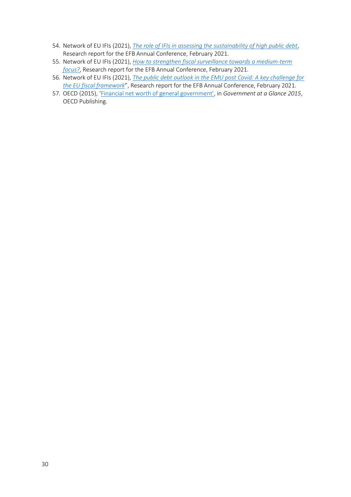- 54. Network of EU IFIs (2021), *[The role of IFIs in assessing the sustainability of high public debt](https://www.euifis.eu/eng/fiscal/303/the-role-of-ifis-in-assessing-the-sustainability-of-high-public-debt)*, Research report for the EFB Annual Conference, February 2021.
- 55. Network of EU IFIs (2021), *[How to strengthen fiscal surveillance towards a medium-term](https://www.euifis.eu/eng/fiscal/302/how-to-strengthen-fiscal-surveillance-towards-a-medium-term-focus)  [focus?](https://www.euifis.eu/eng/fiscal/302/how-to-strengthen-fiscal-surveillance-towards-a-medium-term-focus)*, Research report for the EFB Annual Conference, February 2021.
- 56. Network of EU IFIs (2021), *[The public debt outlook in the EMU post Covid: A key challenge for](file:///C:/Users/barnes_s/AppData/Local/Microsoft/Windows/INetCache/Content.Outlook/IIWY2TS1/The%20public%20debt%20outlook%20in%20the%20EMU%20post%20Covid:%20A%20key%20challenge%20for%20the)  [the EU fiscal framework](file:///C:/Users/barnes_s/AppData/Local/Microsoft/Windows/INetCache/Content.Outlook/IIWY2TS1/The%20public%20debt%20outlook%20in%20the%20EMU%20post%20Covid:%20A%20key%20challenge%20for%20the)*", Research report for the EFB Annual Conference, February 2021.
- 57. OECD (2015), '[Financial net worth of general government](https://doi.org/10.1787/gov_glance-2015-11-en)', in *Government at a Glance 2015*, OECD Publishing.